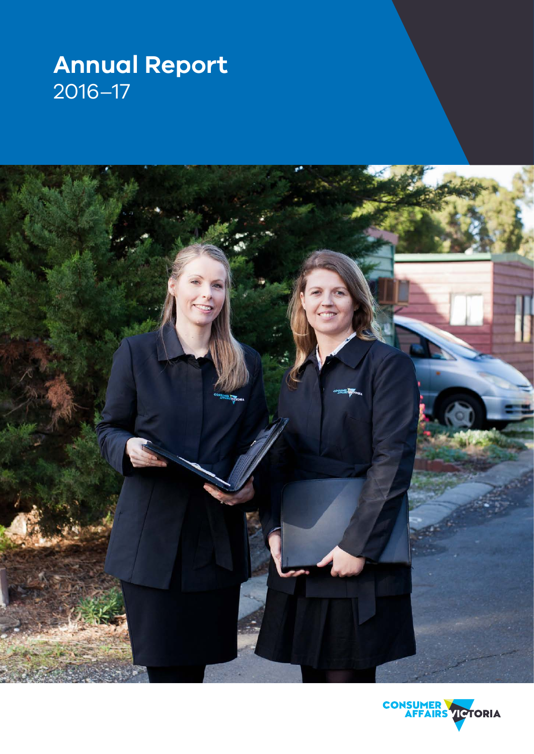# **Annual Report** 2016–17



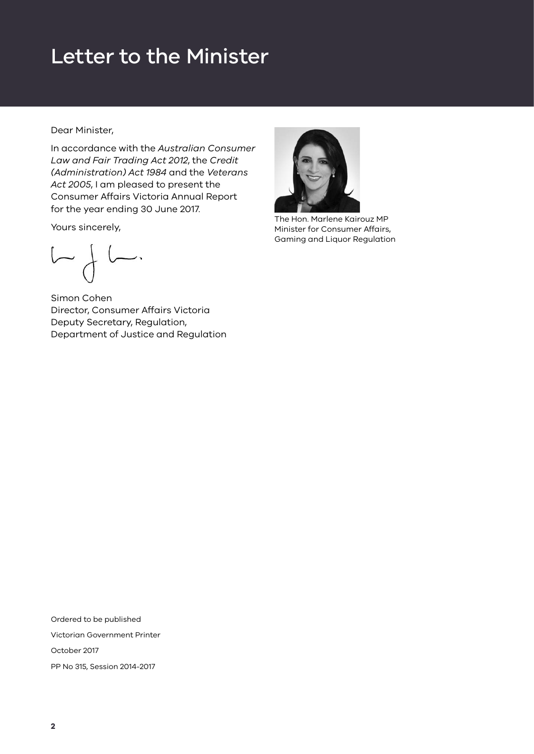# <span id="page-1-0"></span>Letter to the Minister

Dear Minister,

In accordance with the *Australian Consumer Law and Fair Trading Act 2012*, the *Credit (Administration) Act 1984* and the *Veterans Act 2005*, I am pleased to present the Consumer Affairs Victoria Annual Report for the year ending 30 June 2017.

Yours sincerely,

 $L \downarrow$ 

Simon Cohen Director, Consumer Affairs Victoria Deputy Secretary, Regulation, Department of Justice and Regulation



The Hon. Marlene Kairouz MP Minister for Consumer Affairs, Gaming and Liquor Regulation

Ordered to be published Victorian Government Printer October 2017 PP No 315, Session 2014-2017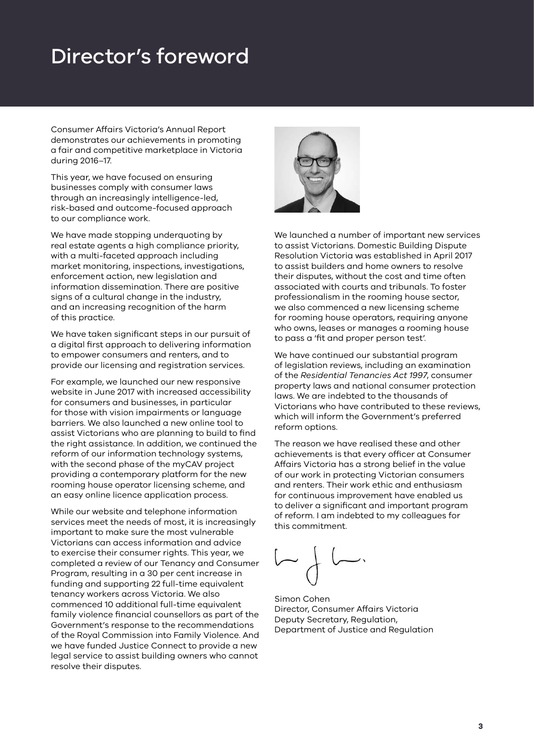# <span id="page-2-0"></span>Director's foreword

Consumer Affairs Victoria's Annual Report demonstrates our achievements in promoting a fair and competitive marketplace in Victoria during 2016–17.

This year, we have focused on ensuring businesses comply with consumer laws through an increasingly intelligence-led, risk-based and outcome-focused approach to our compliance work.

We have made stopping underquoting by real estate agents a high compliance priority, with a multi-faceted approach including market monitoring, inspections, investigations, enforcement action, new legislation and information dissemination. There are positive signs of a cultural change in the industry, and an increasing recognition of the harm of this practice.

We have taken significant steps in our pursuit of a digital first approach to delivering information to empower consumers and renters, and to provide our licensing and registration services.

For example, we launched our new responsive website in June 2017 with increased accessibility for consumers and businesses, in particular for those with vision impairments or language barriers. We also launched a new online tool to assist Victorians who are planning to build to find the right assistance. In addition, we continued the reform of our information technology systems, with the second phase of the myCAV project providing a contemporary platform for the new rooming house operator licensing scheme, and an easy online licence application process.

While our website and telephone information services meet the needs of most, it is increasingly important to make sure the most vulnerable Victorians can access information and advice to exercise their consumer rights. This year, we completed a review of our Tenancy and Consumer Program, resulting in a 30 per cent increase in funding and supporting 22 full-time equivalent tenancy workers across Victoria. We also commenced 10 additional full-time equivalent family violence financial counsellors as part of the Government's response to the recommendations of the Royal Commission into Family Violence. And we have funded Justice Connect to provide a new legal service to assist building owners who cannot resolve their disputes.



We launched a number of important new services to assist Victorians. Domestic Building Dispute Resolution Victoria was established in April 2017 to assist builders and home owners to resolve their disputes, without the cost and time often associated with courts and tribunals. To foster professionalism in the rooming house sector, we also commenced a new licensing scheme for rooming house operators, requiring anyone who owns, leases or manages a rooming house to pass a 'fit and proper person test'.

We have continued our substantial program of legislation reviews, including an examination of the *Residential Tenancies Act 1997*, consumer property laws and national consumer protection laws. We are indebted to the thousands of Victorians who have contributed to these reviews, which will inform the Government's preferred reform options.

The reason we have realised these and other achievements is that every officer at Consumer Affairs Victoria has a strong belief in the value of our work in protecting Victorian consumers and renters. Their work ethic and enthusiasm for continuous improvement have enabled us to deliver a significant and important program of reform. I am indebted to my colleagues for this commitment.

Simon Cohen Director, Consumer Affairs Victoria Deputy Secretary, Regulation, Department of Justice and Regulation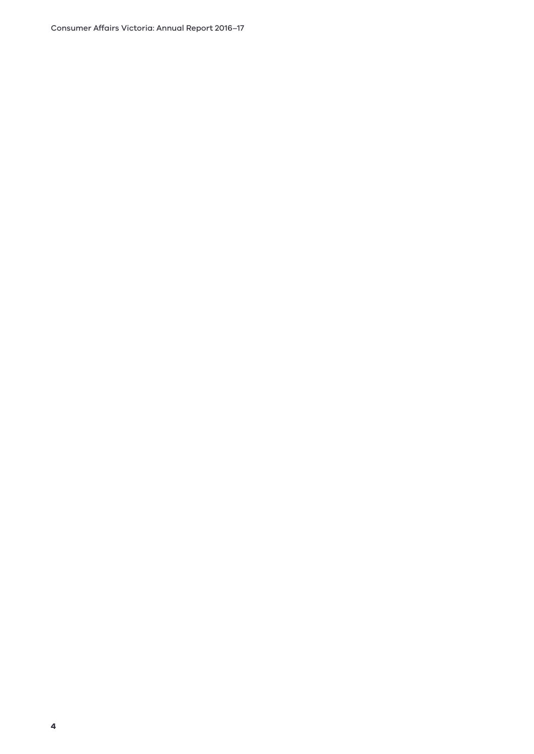Consumer Affairs Victoria: Annual Report 2016–17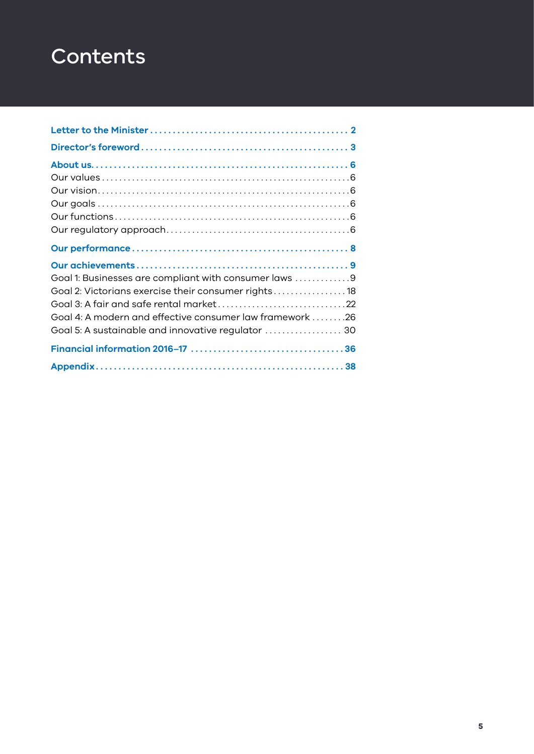# **Contents**

| Goal 1: Businesses are compliant with consumer laws  9<br>Goal 2: Victorians exercise their consumer rights 18<br>Goal 4: A modern and effective consumer law framework 26<br>Goal 5: A sustainable and innovative regulator  30 |  |
|----------------------------------------------------------------------------------------------------------------------------------------------------------------------------------------------------------------------------------|--|
|                                                                                                                                                                                                                                  |  |
|                                                                                                                                                                                                                                  |  |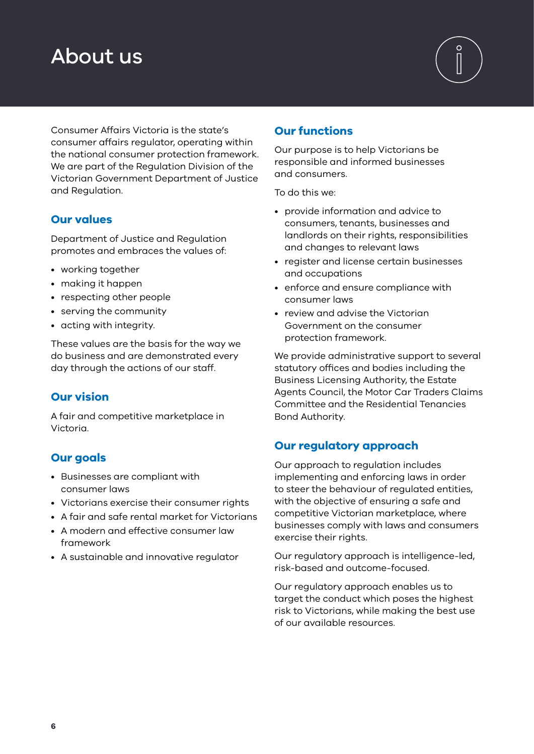# <span id="page-5-0"></span>About us



Consumer Affairs Victoria is the state's consumer affairs regulator, operating within the national consumer protection framework. We are part of the Regulation Division of the Victorian Government Department of Justice and Regulation.

## **Our values**

Department of Justice and Regulation promotes and embraces the values of:

- working together
- making it happen
- respecting other people
- serving the community
- acting with integrity.

These values are the basis for the way we do business and are demonstrated every day through the actions of our staff.

### **Our vision**

A fair and competitive marketplace in Victoria.

# **Our goals**

- Businesses are compliant with consumer laws
- Victorians exercise their consumer rights
- A fair and safe rental market for Victorians
- A modern and effective consumer law framework
- A sustainable and innovative regulator

# **Our functions**

Our purpose is to help Victorians be responsible and informed businesses and consumers.

To do this we:

- provide information and advice to consumers, tenants, businesses and landlords on their rights, responsibilities and changes to relevant laws
- register and license certain businesses and occupations
- enforce and ensure compliance with consumer laws
- review and advise the Victorian Government on the consumer protection framework.

We provide administrative support to several statutory offices and bodies including the Business Licensing Authority, the Estate Agents Council, the Motor Car Traders Claims Committee and the Residential Tenancies Bond Authority.

# **Our regulatory approach**

Our approach to regulation includes implementing and enforcing laws in order to steer the behaviour of regulated entities, with the objective of ensuring a safe and competitive Victorian marketplace, where businesses comply with laws and consumers exercise their rights.

Our regulatory approach is intelligence-led, risk-based and outcome-focused.

Our regulatory approach enables us to target the conduct which poses the highest risk to Victorians, while making the best use of our available resources.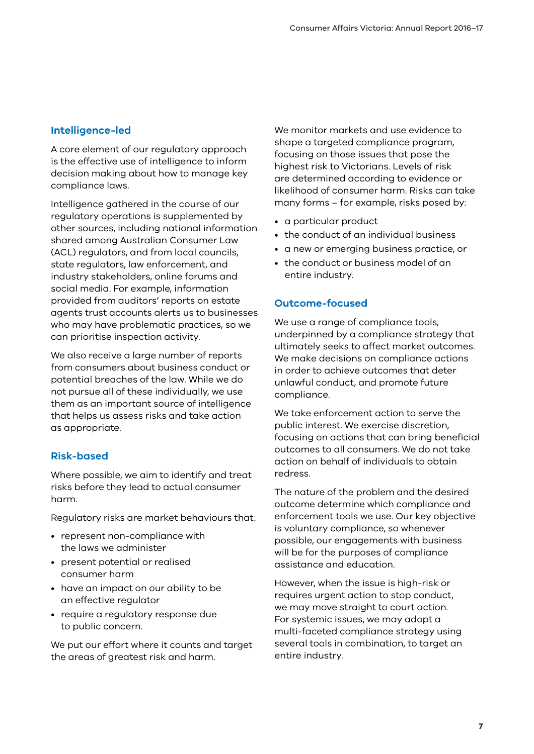#### **Intelligence-led**

A core element of our regulatory approach is the effective use of intelligence to inform decision making about how to manage key compliance laws.

Intelligence gathered in the course of our regulatory operations is supplemented by other sources, including national information shared among Australian Consumer Law (ACL) regulators, and from local councils, state regulators, law enforcement, and industry stakeholders, online forums and social media. For example, information provided from auditors' reports on estate agents trust accounts alerts us to businesses who may have problematic practices, so we can prioritise inspection activity.

We also receive a large number of reports from consumers about business conduct or potential breaches of the law. While we do not pursue all of these individually, we use them as an important source of intelligence that helps us assess risks and take action as appropriate.

#### **Risk-based**

Where possible, we aim to identify and treat risks before they lead to actual consumer harm.

Regulatory risks are market behaviours that:

- represent non-compliance with the laws we administer
- present potential or realised consumer harm
- have an impact on our ability to be an effective regulator
- require a regulatory response due to public concern.

We put our effort where it counts and target the areas of greatest risk and harm.

We monitor markets and use evidence to shape a targeted compliance program, focusing on those issues that pose the highest risk to Victorians. Levels of risk are determined according to evidence or likelihood of consumer harm. Risks can take many forms – for example, risks posed by:

- a particular product
- the conduct of an individual business
- a new or emerging business practice, or
- the conduct or business model of an entire industry.

#### **Outcome-focused**

We use a range of compliance tools, underpinned by a compliance strategy that ultimately seeks to affect market outcomes. We make decisions on compliance actions in order to achieve outcomes that deter unlawful conduct, and promote future compliance.

We take enforcement action to serve the public interest. We exercise discretion, focusing on actions that can bring beneficial outcomes to all consumers. We do not take action on behalf of individuals to obtain redress.

The nature of the problem and the desired outcome determine which compliance and enforcement tools we use. Our key objective is voluntary compliance, so whenever possible, our engagements with business will be for the purposes of compliance assistance and education.

However, when the issue is high-risk or requires urgent action to stop conduct, we may move straight to court action. For systemic issues, we may adopt a multi-faceted compliance strategy using several tools in combination, to target an entire industry.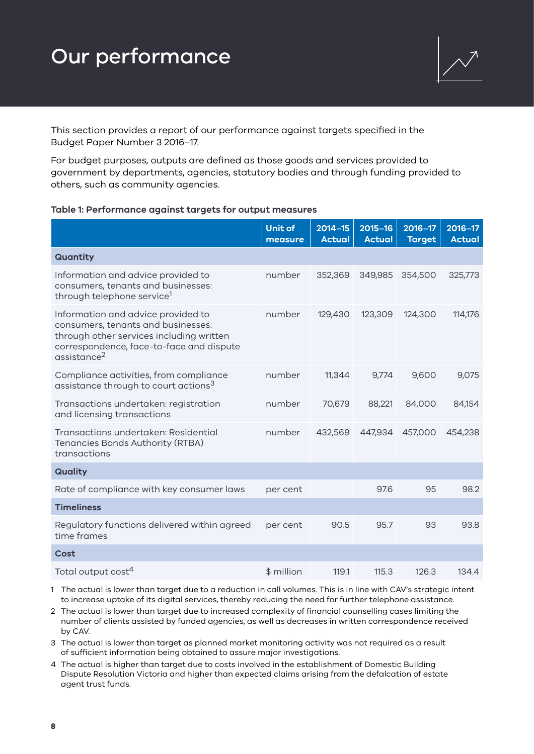# <span id="page-7-0"></span>Our performance

This section provides a report of our performance against targets specified in the Budget Paper Number 3 2016–17.

For budget purposes, outputs are defined as those goods and services provided to government by departments, agencies, statutory bodies and through funding provided to others, such as community agencies.

#### **Table 1: Performance against targets for output measures**

|                                                                                                                                                                                             | <b>Unit of</b><br>measure | $2014 - 15$<br><b>Actual</b> | $2015 - 16$<br><b>Actual</b> | $2016 - 17$<br><b>Target</b> | $2016 - 17$<br><b>Actual</b> |
|---------------------------------------------------------------------------------------------------------------------------------------------------------------------------------------------|---------------------------|------------------------------|------------------------------|------------------------------|------------------------------|
| Quantity                                                                                                                                                                                    |                           |                              |                              |                              |                              |
| Information and advice provided to<br>consumers, tenants and businesses:<br>through telephone service <sup>1</sup>                                                                          | number                    | 352,369                      | 349,985                      | 354,500                      | 325,773                      |
| Information and advice provided to<br>consumers, tenants and businesses:<br>through other services including written<br>correspondence, face-to-face and dispute<br>assistance <sup>2</sup> | number                    | 129,430                      | 123,309                      | 124,300                      | 114,176                      |
| Compliance activities, from compliance<br>assistance through to court actions <sup>3</sup>                                                                                                  | number                    | 11,344                       | 9,774                        | 9,600                        | 9,075                        |
| Transactions undertaken: registration<br>and licensing transactions                                                                                                                         | number                    | 70,679                       | 88,221                       | 84,000                       | 84,154                       |
| Transactions undertaken: Residential<br>Tenancies Bonds Authority (RTBA)<br>transactions                                                                                                    | number                    | 432,569                      | 447,934                      | 457,000                      | 454,238                      |
| Quality                                                                                                                                                                                     |                           |                              |                              |                              |                              |
| Rate of compliance with key consumer laws                                                                                                                                                   | per cent                  |                              | 97.6                         | 95                           | 98.2                         |
| <b>Timeliness</b>                                                                                                                                                                           |                           |                              |                              |                              |                              |
| Regulatory functions delivered within agreed<br>time frames                                                                                                                                 | per cent                  | 90.5                         | 95.7                         | 93                           | 93.8                         |
| Cost                                                                                                                                                                                        |                           |                              |                              |                              |                              |
| Total output cost <sup>4</sup>                                                                                                                                                              | \$ million                | 119.1                        | 115.3                        | 126.3                        | 134.4                        |

1 The actual is lower than target due to a reduction in call volumes. This is in line with CAV's strategic intent to increase uptake of its digital services, thereby reducing the need for further telephone assistance.

2 The actual is lower than target due to increased complexity of financial counselling cases limiting the number of clients assisted by funded agencies, as well as decreases in written correspondence received by CAV.

3 The actual is lower than target as planned market monitoring activity was not required as a result of sufficient information being obtained to assure major investigations.

4 The actual is higher than target due to costs involved in the establishment of Domestic Building Dispute Resolution Victoria and higher than expected claims arising from the defalcation of estate agent trust funds.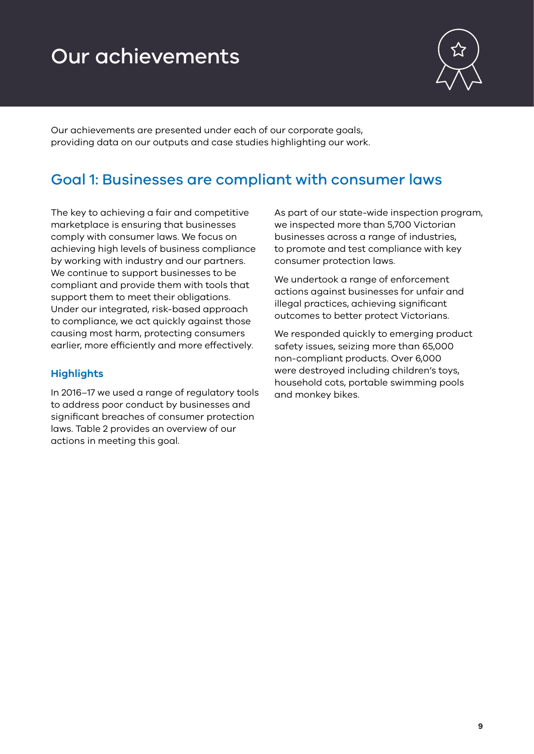# <span id="page-8-0"></span>Our achievements



Our achievements are presented under each of our corporate goals, providing data on our outputs and case studies highlighting our work.

# Goal 1: Businesses are compliant with consumer laws

The key to achieving a fair and competitive marketplace is ensuring that businesses comply with consumer laws. We focus on achieving high levels of business compliance by working with industry and our partners. We continue to support businesses to be compliant and provide them with tools that support them to meet their obligations. Under our integrated, risk-based approach to compliance, we act quickly against those causing most harm, protecting consumers earlier, more efficiently and more effectively.

#### **Highlights**

In 2016–17 we used a range of regulatory tools to address poor conduct by businesses and significant breaches of consumer protection laws. Table 2 provides an overview of our actions in meeting this goal.

As part of our state-wide inspection program, we inspected more than 5,700 Victorian businesses across a range of industries, to promote and test compliance with key consumer protection laws.

We undertook a range of enforcement actions against businesses for unfair and illegal practices, achieving significant outcomes to better protect Victorians.

We responded quickly to emerging product safety issues, seizing more than 65,000 non-compliant products. Over 6,000 were destroyed including children's toys, household cots, portable swimming pools and monkey bikes.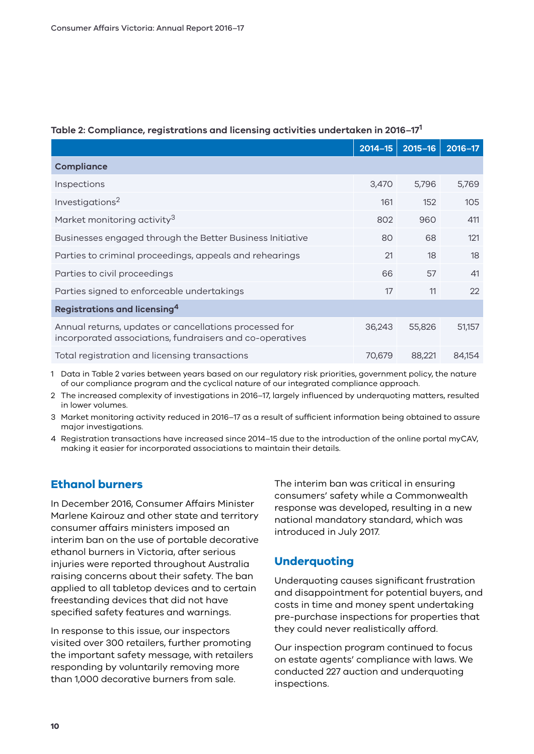|                                                                                                                    | $2014 - 15$ | $2015 - 16$ | 2016-17 |
|--------------------------------------------------------------------------------------------------------------------|-------------|-------------|---------|
| <b>Compliance</b>                                                                                                  |             |             |         |
| Inspections                                                                                                        | 3,470       | 5,796       | 5,769   |
| Investigations <sup>2</sup>                                                                                        | 161         | 152         | 105     |
| Market monitoring activity <sup>3</sup>                                                                            | 802         | 960         | 411     |
| Businesses engaged through the Better Business Initiative                                                          | 80          | 68          | 121     |
| Parties to criminal proceedings, appeals and rehearings                                                            | 21          | 18          | 18      |
| Parties to civil proceedings                                                                                       | 66          | 57          | 41      |
| Parties signed to enforceable undertakings                                                                         | 17          | 11          | 22      |
| <b>Registrations and licensing<sup>4</sup></b>                                                                     |             |             |         |
| Annual returns, updates or cancellations processed for<br>incorporated associations, fundraisers and co-operatives | 36,243      | 55,826      | 51,157  |
| Total registration and licensing transactions                                                                      | 70,679      | 88,221      | 84,154  |

#### **Table 2: Compliance, registrations and licensing activities undertaken in 2016–171**

1 Data in Table 2 varies between years based on our regulatory risk priorities, government policy, the nature of our compliance program and the cyclical nature of our integrated compliance approach.

- 2 The increased complexity of investigations in 2016–17, largely influenced by underquoting matters, resulted in lower volumes.
- 3 Market monitoring activity reduced in 2016–17 as a result of sufficient information being obtained to assure major investigations.

4 Registration transactions have increased since 2014–15 due to the introduction of the online portal myCAV, making it easier for incorporated associations to maintain their details.

#### **Ethanol burners**

In December 2016, Consumer Affairs Minister Marlene Kairouz and other state and territory consumer affairs ministers imposed an interim ban on the use of portable decorative ethanol burners in Victoria, after serious injuries were reported throughout Australia raising concerns about their safety. The ban applied to all tabletop devices and to certain freestanding devices that did not have specified safety features and warnings.

In response to this issue, our inspectors visited over 300 retailers, further promoting the important safety message, with retailers responding by voluntarily removing more than 1,000 decorative burners from sale.

The interim ban was critical in ensuring consumers' safety while a Commonwealth response was developed, resulting in a new national mandatory standard, which was introduced in July 2017.

### **Underquoting**

Underquoting causes significant frustration and disappointment for potential buyers, and costs in time and money spent undertaking pre-purchase inspections for properties that they could never realistically afford.

Our inspection program continued to focus on estate agents' compliance with laws. We conducted 227 auction and underquoting inspections.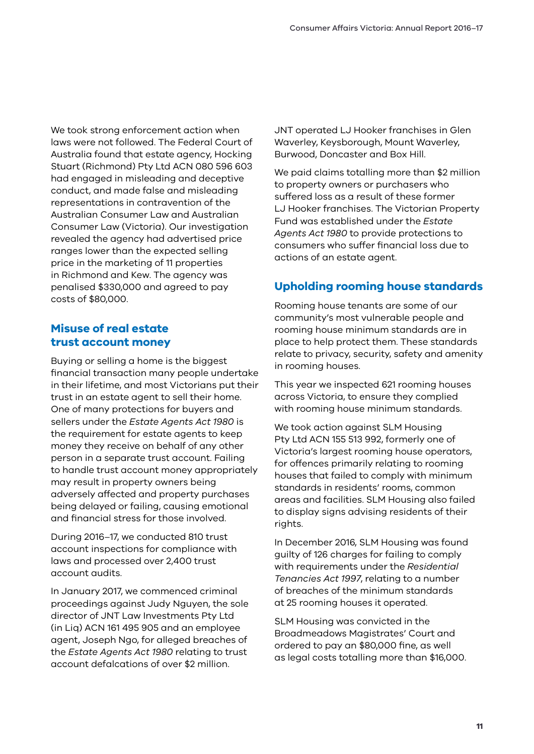We took strong enforcement action when laws were not followed. The Federal Court of Australia found that estate agency, Hocking Stuart (Richmond) Pty Ltd ACN 080 596 603 had engaged in misleading and deceptive conduct, and made false and misleading representations in contravention of the Australian Consumer Law and Australian Consumer Law (Victoria). Our investigation revealed the agency had advertised price ranges lower than the expected selling price in the marketing of 11 properties in Richmond and Kew. The agency was penalised \$330,000 and agreed to pay costs of \$80,000.

## **Misuse of real estate trust account money**

Buying or selling a home is the biggest financial transaction many people undertake in their lifetime, and most Victorians put their trust in an estate agent to sell their home. One of many protections for buyers and sellers under the *Estate Agents Act 1980* is the requirement for estate agents to keep money they receive on behalf of any other person in a separate trust account. Failing to handle trust account money appropriately may result in property owners being adversely affected and property purchases being delayed or failing, causing emotional and financial stress for those involved.

During 2016–17, we conducted 810 trust account inspections for compliance with laws and processed over 2,400 trust account audits.

In January 2017, we commenced criminal proceedings against Judy Nguyen, the sole director of JNT Law Investments Pty Ltd (in Liq) ACN 161 495 905 and an employee agent, Joseph Ngo, for alleged breaches of the *Estate Agents Act 1980* relating to trust account defalcations of over \$2 million.

JNT operated LJ Hooker franchises in Glen Waverley, Keysborough, Mount Waverley, Burwood, Doncaster and Box Hill.

We paid claims totalling more than \$2 million to property owners or purchasers who suffered loss as a result of these former LJ Hooker franchises. The Victorian Property Fund was established under the *Estate Agents Act 1980* to provide protections to consumers who suffer financial loss due to actions of an estate agent.

## **Upholding rooming house standards**

Rooming house tenants are some of our community's most vulnerable people and rooming house minimum standards are in place to help protect them. These standards relate to privacy, security, safety and amenity in rooming houses.

This year we inspected 621 rooming houses across Victoria, to ensure they complied with rooming house minimum standards.

We took action against SLM Housing Pty Ltd ACN 155 513 992, formerly one of Victoria's largest rooming house operators, for offences primarily relating to rooming houses that failed to comply with minimum standards in residents' rooms, common areas and facilities. SLM Housing also failed to display signs advising residents of their rights.

In December 2016, SLM Housing was found guilty of 126 charges for failing to comply with requirements under the *Residential Tenancies Act 1997*, relating to a number of breaches of the minimum standards at 25 rooming houses it operated.

SLM Housing was convicted in the Broadmeadows Magistrates' Court and ordered to pay an \$80,000 fine, as well as legal costs totalling more than \$16,000.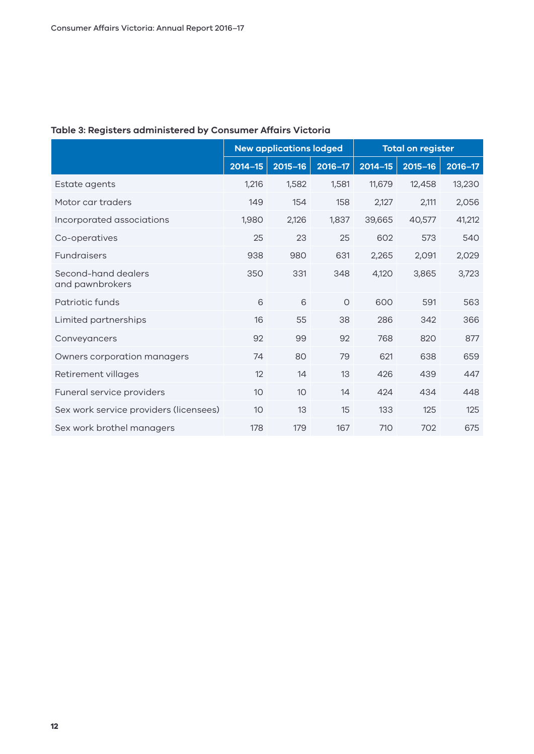|                                        | <b>New applications lodged</b> |             |             | <b>Total on register</b> |             |             |
|----------------------------------------|--------------------------------|-------------|-------------|--------------------------|-------------|-------------|
|                                        | $2014 - 15$                    | $2015 - 16$ | $2016 - 17$ | $2014 - 15$              | $2015 - 16$ | $2016 - 17$ |
| Estate agents                          | 1,216                          | 1,582       | 1,581       | 11,679                   | 12,458      | 13,230      |
| Motor car traders                      | 149                            | 154         | 158         | 2,127                    | 2,111       | 2,056       |
| Incorporated associations              | 1,980                          | 2,126       | 1,837       | 39,665                   | 40,577      | 41,212      |
| Co-operatives                          | 25                             | 23          | 25          | 602                      | 573         | 540         |
| Fundraisers                            | 938                            | 980         | 631         | 2,265                    | 2,091       | 2,029       |
| Second-hand dealers<br>and pawnbrokers | 350                            | 331         | 348         | 4,120                    | 3,865       | 3,723       |
| Patriotic funds                        | 6                              | 6           | $\circ$     | 600                      | 591         | 563         |
| Limited partnerships                   | 16                             | 55          | 38          | 286                      | 342         | 366         |
| Conveyancers                           | 92                             | 99          | 92          | 768                      | 820         | 877         |
| Owners corporation managers            | 74                             | 80          | 79          | 621                      | 638         | 659         |
| Retirement villages                    | 12                             | 14          | 13          | 426                      | 439         | 447         |
| Funeral service providers              | 10 <sup>°</sup>                | 10          | 14          | 424                      | 434         | 448         |
| Sex work service providers (licensees) | 10                             | 13          | 15          | 133                      | 125         | 125         |
| Sex work brothel managers              | 178                            | 179         | 167         | 710                      | 702         | 675         |

# **Table 3: Registers administered by Consumer Affairs Victoria**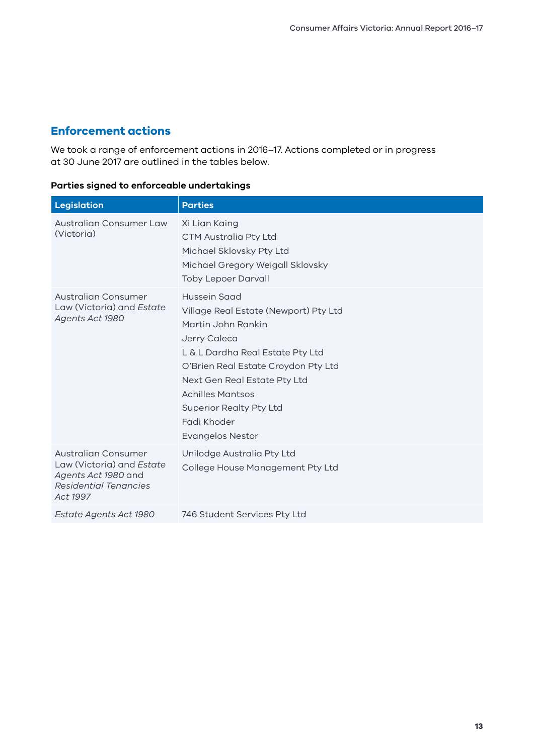# **Enforcement actions**

We took a range of enforcement actions in 2016–17. Actions completed or in progress at 30 June 2017 are outlined in the tables below.

| <b>Legislation</b>                                                                                                  | <b>Parties</b>                                                                                                                                                                                                                                                                                         |
|---------------------------------------------------------------------------------------------------------------------|--------------------------------------------------------------------------------------------------------------------------------------------------------------------------------------------------------------------------------------------------------------------------------------------------------|
| Australian Consumer Law<br>(Victoria)                                                                               | Xi Lian Kaing<br>CTM Australia Pty Ltd<br>Michael Sklovsky Pty Ltd<br>Michael Gregory Weigall Sklovsky<br><b>Toby Lepoer Darvall</b>                                                                                                                                                                   |
| Australian Consumer<br>Law (Victoria) and Estate<br>Agents Act 1980                                                 | Hussein Saad<br>Village Real Estate (Newport) Pty Ltd<br>Martin John Rankin<br>Jerry Caleca<br>L & L Dardha Real Estate Pty Ltd<br>O'Brien Real Estate Croydon Pty Ltd<br>Next Gen Real Estate Pty Ltd<br><b>Achilles Mantsos</b><br>Superior Realty Pty Ltd<br>Fadi Khoder<br><b>Evangelos Nestor</b> |
| Australian Consumer<br>Law (Victoria) and Estate<br>Agents Act 1980 and<br><b>Residential Tenancies</b><br>Act 1997 | Unilodge Australia Pty Ltd<br>College House Management Pty Ltd                                                                                                                                                                                                                                         |
| Estate Agents Act 1980                                                                                              | 746 Student Services Pty Ltd                                                                                                                                                                                                                                                                           |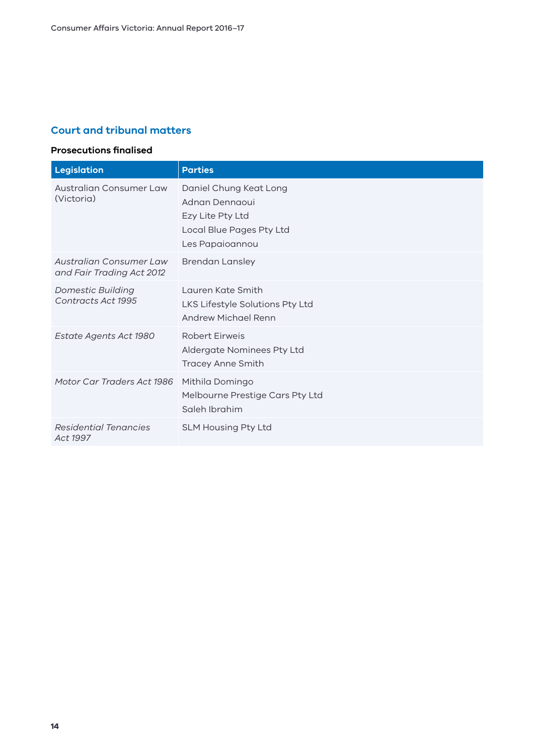### **Court and tribunal matters**

#### **Prosecutions finalised**

| <b>Legislation</b>                                          | <b>Parties</b>                                                                                              |
|-------------------------------------------------------------|-------------------------------------------------------------------------------------------------------------|
| Australian Consumer Law<br>(Victoria)                       | Daniel Chung Keat Long<br>Adnan Dennaoui<br>Ezy Lite Pty Ltd<br>Local Blue Pages Pty Ltd<br>Les Papaioannou |
| <b>Australian Consumer Law</b><br>and Fair Trading Act 2012 | <b>Brendan Lansley</b>                                                                                      |
| <b>Domestic Building</b><br>Contracts Act 1995              | Lauren Kate Smith<br>LKS Lifestyle Solutions Pty Ltd<br>Andrew Michael Renn                                 |
| Estate Agents Act 1980                                      | Robert Firweis<br>Aldergate Nominees Pty Ltd<br><b>Tracey Anne Smith</b>                                    |
| Motor Car Traders Act 1986                                  | Mithila Domingo<br>Melbourne Prestige Cars Pty Ltd<br>Saleh Ibrahim                                         |
| <b>Residential Tenancies</b><br>Act 1997                    | <b>SLM Housing Pty Ltd</b>                                                                                  |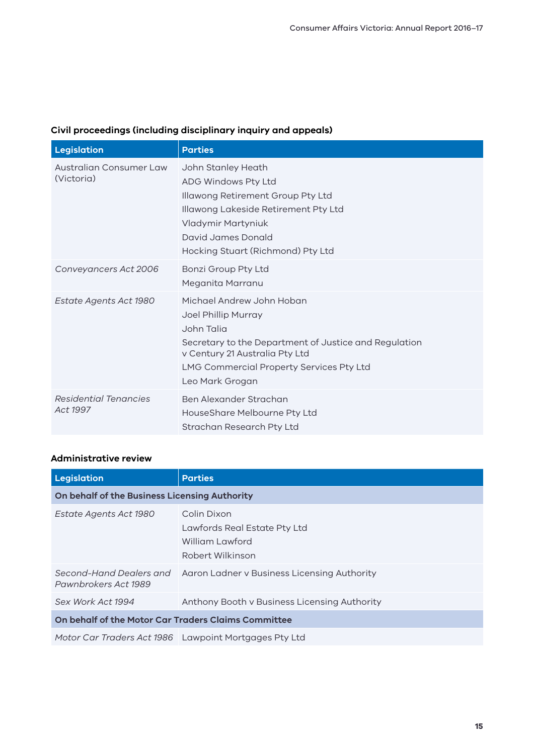### **Civil proceedings (including disciplinary inquiry and appeals)**

| <b>Legislation</b>                       | <b>Parties</b>                                                                                                                                                                                                           |
|------------------------------------------|--------------------------------------------------------------------------------------------------------------------------------------------------------------------------------------------------------------------------|
| Australian Consumer Law<br>(Victoria)    | John Stanley Heath<br>ADG Windows Pty Ltd<br>Illawong Retirement Group Pty Ltd<br>Illawong Lakeside Retirement Pty Ltd<br>Vladymir Martyniuk<br>David James Donald<br>Hocking Stuart (Richmond) Pty Ltd                  |
| Conveyancers Act 2006                    | Bonzi Group Pty Ltd<br>Meganita Marranu                                                                                                                                                                                  |
| Estate Agents Act 1980                   | Michael Andrew John Hoban<br>Joel Phillip Murray<br>John Talia<br>Secretary to the Department of Justice and Regulation<br>v Century 21 Australia Pty Ltd<br>LMG Commercial Property Services Pty Ltd<br>Leo Mark Grogan |
| <b>Residential Tenancies</b><br>Act 1997 | Ben Alexander Strachan<br>HouseShare Melbourne Pty Ltd<br>Strachan Research Pty Ltd                                                                                                                                      |

#### **Administrative review**

| Legislation                                         | <b>Parties</b>                                                                     |  |
|-----------------------------------------------------|------------------------------------------------------------------------------------|--|
| On behalf of the Business Licensing Authority       |                                                                                    |  |
| Estate Agents Act 1980                              | Colin Dixon<br>Lawfords Real Estate Pty Ltd<br>William Lawford<br>Robert Wilkinson |  |
| Pawnbrokers Act 1989                                | Second-Hand Dealers and Aaron Ladner v Business Licensing Authority                |  |
| Sex Work Act 1994                                   | Anthony Booth v Business Licensing Authority                                       |  |
| On behalf of the Motor Car Traders Claims Committee |                                                                                    |  |
|                                                     | Motor Car Traders Act 1986 Lawpoint Mortgages Pty Ltd                              |  |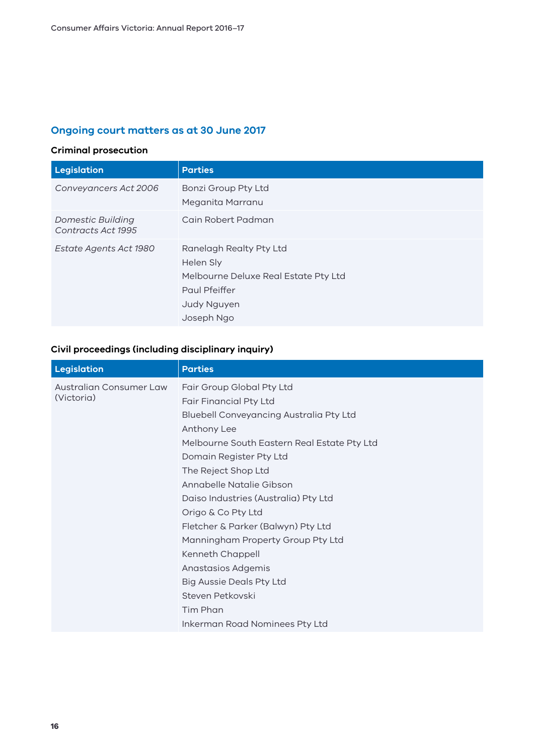### **Ongoing court matters as at 30 June 2017**

#### **Criminal prosecution**

| Legislation                             | <b>Parties</b>                                                                                                             |
|-----------------------------------------|----------------------------------------------------------------------------------------------------------------------------|
| Conveyancers Act 2006                   | Bonzi Group Pty Ltd<br>Meganita Marranu                                                                                    |
| Domestic Building<br>Contracts Act 1995 | Cain Robert Padman                                                                                                         |
| Estate Agents Act 1980                  | Ranelagh Realty Pty Ltd<br>Helen Sly<br>Melbourne Deluxe Real Estate Pty Ltd<br>Paul Pfeiffer<br>Judy Nguyen<br>Joseph Ngo |

### **Civil proceedings (including disciplinary inquiry)**

| <b>Legislation</b>      | <b>Parties</b>                              |
|-------------------------|---------------------------------------------|
| Australian Consumer Law | Fair Group Global Pty Ltd                   |
| (Victoria)              | Fair Financial Pty Ltd                      |
|                         | Bluebell Conveyancing Australia Pty Ltd     |
|                         | Anthony Lee                                 |
|                         | Melbourne South Eastern Real Estate Pty Ltd |
|                         | Domain Register Pty Ltd                     |
|                         | The Reject Shop Ltd                         |
|                         | Annabelle Natalie Gibson                    |
|                         | Daiso Industries (Australia) Pty Ltd        |
|                         | Origo & Co Pty Ltd                          |
|                         | Fletcher & Parker (Balwyn) Pty Ltd          |
|                         | Manningham Property Group Pty Ltd           |
|                         | Kenneth Chappell                            |
|                         | Anastasios Adgemis                          |
|                         | <b>Big Aussie Deals Pty Ltd</b>             |
|                         | Steven Petkovski                            |
|                         | Tim Phan                                    |
|                         | Inkerman Road Nominees Pty Ltd              |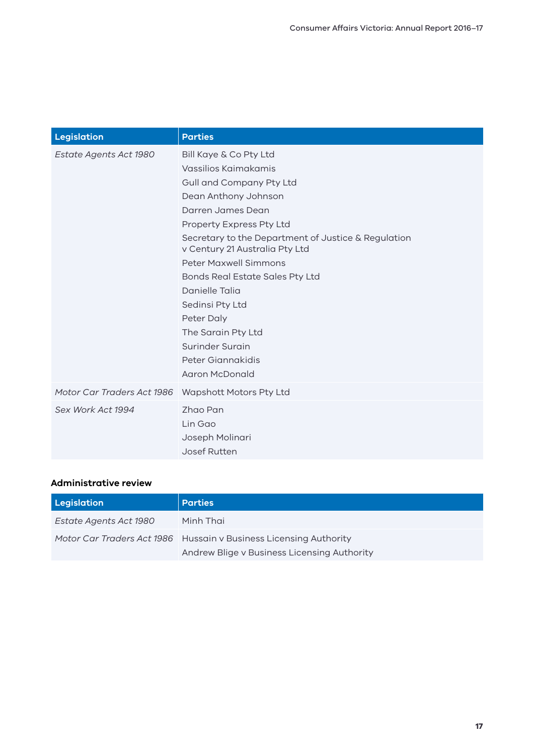| <b>Legislation</b>         | <b>Parties</b>                                                                        |
|----------------------------|---------------------------------------------------------------------------------------|
| Estate Agents Act 1980     | Bill Kaye & Co Pty Ltd                                                                |
|                            | Vassilios Kaimakamis                                                                  |
|                            | Gull and Company Pty Ltd                                                              |
|                            | Dean Anthony Johnson                                                                  |
|                            | Darren James Dean                                                                     |
|                            | Property Express Pty Ltd                                                              |
|                            | Secretary to the Department of Justice & Regulation<br>v Century 21 Australia Pty Ltd |
|                            | <b>Peter Maxwell Simmons</b>                                                          |
|                            | Bonds Real Estate Sales Pty Ltd                                                       |
|                            | Danielle Talia                                                                        |
|                            | Sedinsi Pty Ltd                                                                       |
|                            | Peter Daly                                                                            |
|                            | The Sarain Pty Ltd                                                                    |
|                            | Surinder Surgin                                                                       |
|                            | Peter Giannakidis                                                                     |
|                            | Aaron McDonald                                                                        |
| Motor Car Traders Act 1986 | Wapshott Motors Pty Ltd                                                               |
| Sex Work Act 1994          | Zhao Pan                                                                              |
|                            | Lin Gao                                                                               |
|                            | Joseph Molinari                                                                       |
|                            | Josef Rutten                                                                          |

#### **Administrative review**

| Legislation            | <b>Parties</b>                                                                                                   |
|------------------------|------------------------------------------------------------------------------------------------------------------|
| Estate Agents Act 1980 | Minh Thai                                                                                                        |
|                        | Motor Car Traders Act 1986 Hussain v Business Licensing Authority<br>Andrew Blige v Business Licensing Authority |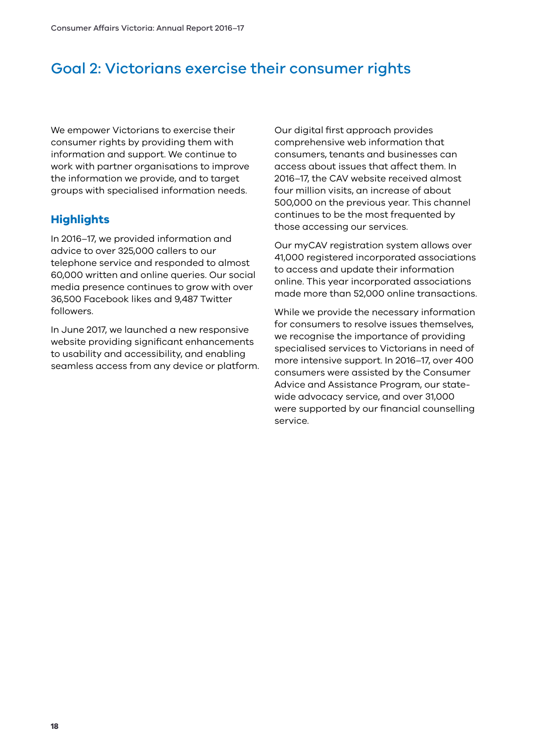# <span id="page-17-0"></span>Goal 2: Victorians exercise their consumer rights

We empower Victorians to exercise their consumer rights by providing them with information and support. We continue to work with partner organisations to improve the information we provide, and to target groups with specialised information needs.

# **Highlights**

In 2016–17, we provided information and advice to over 325,000 callers to our telephone service and responded to almost 60,000 written and online queries. Our social media presence continues to grow with over 36,500 Facebook likes and 9,487 Twitter followers.

In June 2017, we launched a new responsive website providing significant enhancements to usability and accessibility, and enabling seamless access from any device or platform. Our digital first approach provides comprehensive web information that consumers, tenants and businesses can access about issues that affect them. In 2016–17, the CAV website received almost four million visits, an increase of about 500,000 on the previous year. This channel continues to be the most frequented by those accessing our services.

Our myCAV registration system allows over 41,000 registered incorporated associations to access and update their information online. This year incorporated associations made more than 52,000 online transactions.

While we provide the necessary information for consumers to resolve issues themselves, we recognise the importance of providing specialised services to Victorians in need of more intensive support. In 2016–17, over 400 consumers were assisted by the Consumer Advice and Assistance Program, our statewide advocacy service, and over 31,000 were supported by our financial counselling service.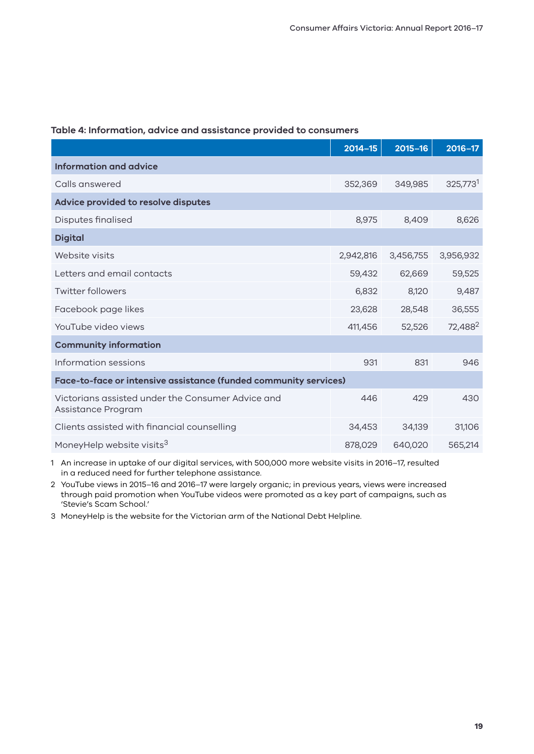|                                                                         | $2014 - 15$ | $2015 - 16$ | $2016 - 17$         |
|-------------------------------------------------------------------------|-------------|-------------|---------------------|
| Information and advice                                                  |             |             |                     |
| Calls answered                                                          | 352,369     | 349,985     | 325,773             |
| Advice provided to resolve disputes                                     |             |             |                     |
| Disputes finalised                                                      | 8,975       | 8,409       | 8,626               |
| <b>Digital</b>                                                          |             |             |                     |
| Website visits                                                          | 2,942,816   | 3,456,755   | 3,956,932           |
| Letters and email contacts                                              | 59,432      | 62,669      | 59,525              |
| <b>Twitter followers</b>                                                | 6,832       | 8,120       | 9,487               |
| Facebook page likes                                                     | 23,628      | 28,548      | 36,555              |
| YouTube video views                                                     | 411,456     | 52,526      | 72,488 <sup>2</sup> |
| <b>Community information</b>                                            |             |             |                     |
| Information sessions                                                    | 931         | 831         | 946                 |
| Face-to-face or intensive assistance (funded community services)        |             |             |                     |
| Victorians assisted under the Consumer Advice and<br>Assistance Program | 446         | 429         | 430                 |
| Clients assisted with financial counselling                             | 34,453      | 34,139      | 31,106              |
| MoneyHelp website visits <sup>3</sup>                                   | 878,029     | 640,020     | 565,214             |

#### **Table 4: Information, advice and assistance provided to consumers**

1 An increase in uptake of our digital services, with 500,000 more website visits in 2016–17, resulted in a reduced need for further telephone assistance.

2 YouTube views in 2015–16 and 2016–17 were largely organic; in previous years, views were increased through paid promotion when YouTube videos were promoted as a key part of campaigns, such as 'Stevie's Scam School.'

3 MoneyHelp is the website for the Victorian arm of the National Debt Helpline.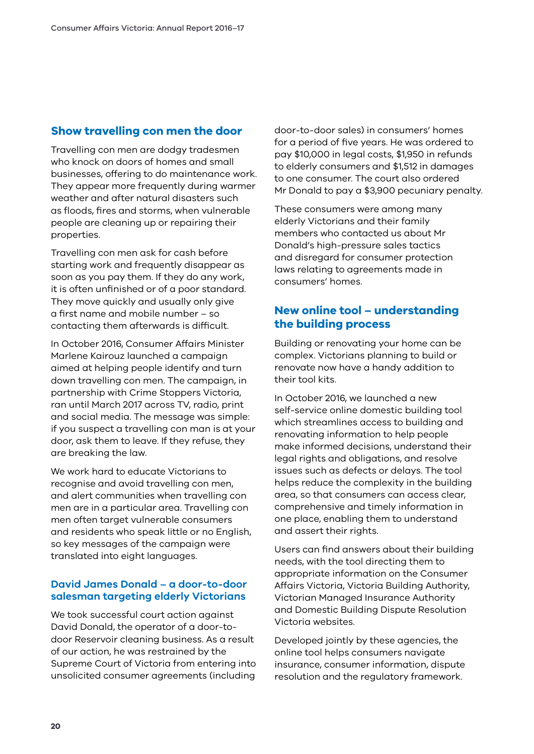#### **Show travelling con men the door**

Travelling con men are dodgy tradesmen who knock on doors of homes and small businesses, offering to do maintenance work. They appear more frequently during warmer weather and after natural disasters such as floods, fires and storms, when vulnerable people are cleaning up or repairing their properties.

Travelling con men ask for cash before starting work and frequently disappear as soon as you pay them. If they do any work, it is often unfinished or of a poor standard. They move quickly and usually only give a first name and mobile number – so contacting them afterwards is difficult.

In October 2016, Consumer Affairs Minister Marlene Kairouz launched a campaign aimed at helping people identify and turn down travelling con men. The campaign, in partnership with Crime Stoppers Victoria, ran until March 2017 across TV, radio, print and social media. The message was simple: if you suspect a travelling con man is at your door, ask them to leave. If they refuse, they are breaking the law.

We work hard to educate Victorians to recognise and avoid travelling con men, and alert communities when travelling con men are in a particular area. Travelling con men often target vulnerable consumers and residents who speak little or no English, so key messages of the campaign were translated into eight languages.

#### **David James Donald – a door-to-door salesman targeting elderly Victorians**

We took successful court action against David Donald, the operator of a door-todoor Reservoir cleaning business. As a result of our action, he was restrained by the Supreme Court of Victoria from entering into unsolicited consumer agreements (including

door-to-door sales) in consumers' homes for a period of five years. He was ordered to pay \$10,000 in legal costs, \$1,950 in refunds to elderly consumers and \$1,512 in damages to one consumer. The court also ordered Mr Donald to pay a \$3,900 pecuniary penalty.

These consumers were among many elderly Victorians and their family members who contacted us about Mr Donald's high-pressure sales tactics and disregard for consumer protection laws relating to agreements made in consumers' homes.

### **New online tool – understanding the building process**

Building or renovating your home can be complex. Victorians planning to build or renovate now have a handy addition to their tool kits.

In October 2016, we launched a new self-service online domestic building tool which streamlines access to building and renovating information to help people make informed decisions, understand their legal rights and obligations, and resolve issues such as defects or delays. The tool helps reduce the complexity in the building area, so that consumers can access clear, comprehensive and timely information in one place, enabling them to understand and assert their rights.

Users can find answers about their building needs, with the tool directing them to appropriate information on the Consumer Affairs Victoria, Victoria Building Authority, Victorian Managed Insurance Authority and Domestic Building Dispute Resolution Victoria websites.

Developed jointly by these agencies, the online tool helps consumers navigate insurance, consumer information, dispute resolution and the regulatory framework.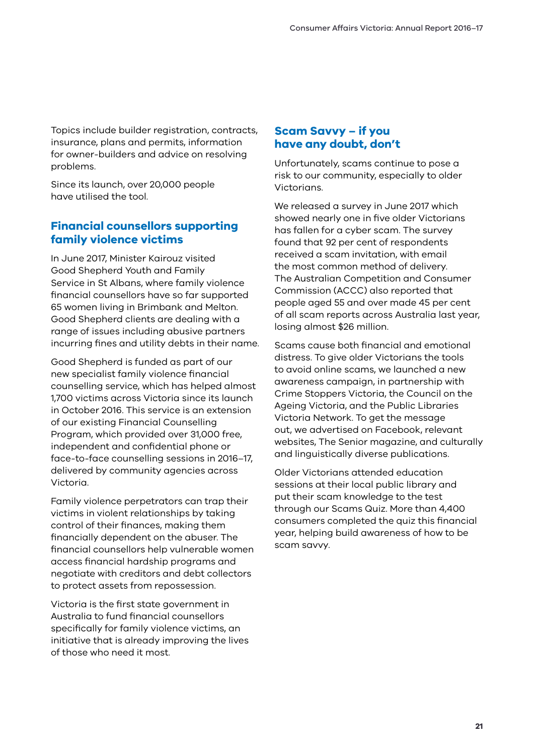Topics include builder registration, contracts, insurance, plans and permits, information for owner-builders and advice on resolving problems.

Since its launch, over 20,000 people have utilised the tool.

### **Financial counsellors supporting family violence victims**

In June 2017, Minister Kairouz visited Good Shepherd Youth and Family Service in St Albans, where family violence financial counsellors have so far supported 65 women living in Brimbank and Melton. Good Shepherd clients are dealing with a range of issues including abusive partners incurring fines and utility debts in their name.

Good Shepherd is funded as part of our new specialist family violence financial counselling service, which has helped almost 1,700 victims across Victoria since its launch in October 2016. This service is an extension of our existing Financial Counselling Program, which provided over 31,000 free, independent and confidential phone or face-to-face counselling sessions in 2016–17, delivered by community agencies across Victoria.

Family violence perpetrators can trap their victims in violent relationships by taking control of their finances, making them financially dependent on the abuser. The financial counsellors help vulnerable women access financial hardship programs and negotiate with creditors and debt collectors to protect assets from repossession.

Victoria is the first state government in Australia to fund financial counsellors specifically for family violence victims, an initiative that is already improving the lives of those who need it most.

#### **Scam Savvy – if you have any doubt, don't**

Unfortunately, scams continue to pose a risk to our community, especially to older Victorians.

We released a survey in June 2017 which showed nearly one in five older Victorians has fallen for a cyber scam. The survey found that 92 per cent of respondents received a scam invitation, with email the most common method of delivery. The Australian Competition and Consumer Commission (ACCC) also reported that people aged 55 and over made 45 per cent of all scam reports across Australia last year, losing almost \$26 million.

Scams cause both financial and emotional distress. To give older Victorians the tools to avoid online scams, we launched a new awareness campaign, in partnership with Crime Stoppers Victoria, the Council on the Ageing Victoria, and the Public Libraries Victoria Network. To get the message out, we advertised on Facebook, relevant websites, The Senior magazine, and culturally and linguistically diverse publications.

Older Victorians attended education sessions at their local public library and put their scam knowledge to the test through our Scams Quiz. More than 4,400 consumers completed the quiz this financial year, helping build awareness of how to be scam savvy.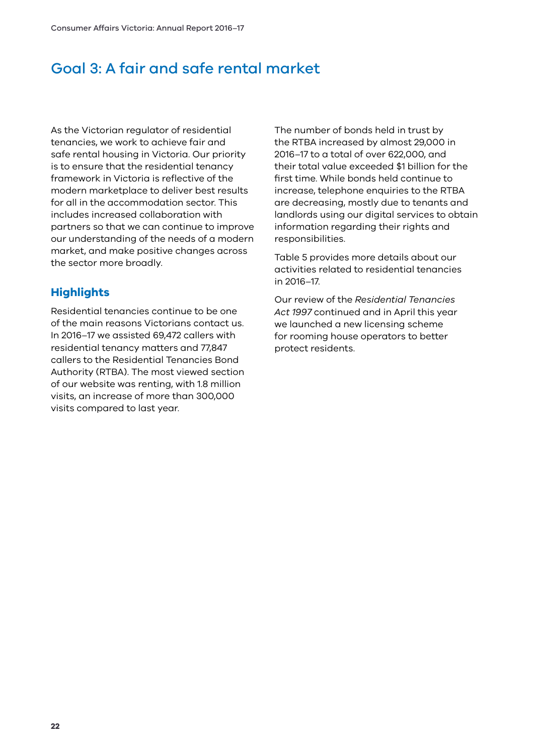# <span id="page-21-0"></span>Goal 3: A fair and safe rental market

As the Victorian regulator of residential tenancies, we work to achieve fair and safe rental housing in Victoria. Our priority is to ensure that the residential tenancy framework in Victoria is reflective of the modern marketplace to deliver best results for all in the accommodation sector. This includes increased collaboration with partners so that we can continue to improve our understanding of the needs of a modern market, and make positive changes across the sector more broadly.

## **Highlights**

Residential tenancies continue to be one of the main reasons Victorians contact us. In 2016–17 we assisted 69,472 callers with residential tenancy matters and 77,847 callers to the Residential Tenancies Bond Authority (RTBA). The most viewed section of our website was renting, with 1.8 million visits, an increase of more than 300,000 visits compared to last year.

The number of bonds held in trust by the RTBA increased by almost 29,000 in 2016–17 to a total of over 622,000, and their total value exceeded \$1 billion for the first time. While bonds held continue to increase, telephone enquiries to the RTBA are decreasing, mostly due to tenants and landlords using our digital services to obtain information regarding their rights and responsibilities.

Table 5 provides more details about our activities related to residential tenancies in 2016–17.

Our review of the *Residential Tenancies Act 1997* continued and in April this year we launched a new licensing scheme for rooming house operators to better protect residents.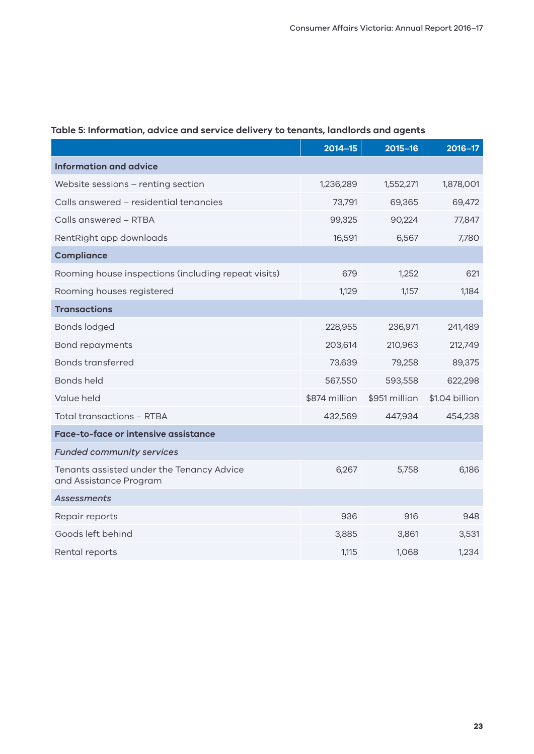|                                                                     | $2014 - 15$   | $2015 - 16$   | $2016 - 17$    |
|---------------------------------------------------------------------|---------------|---------------|----------------|
| <b>Information and advice</b>                                       |               |               |                |
| Website sessions - renting section                                  | 1,236,289     | 1,552,271     | 1,878,001      |
| Calls answered - residential tenancies                              | 73,791        | 69,365        | 69,472         |
| Calls answered - RTBA                                               | 99,325        | 90,224        | 77,847         |
| RentRight app downloads                                             | 16,591        | 6,567         | 7,780          |
| <b>Compliance</b>                                                   |               |               |                |
| Rooming house inspections (including repeat visits)                 | 679           | 1,252         | 621            |
| Rooming houses registered                                           | 1,129         | 1,157         | 1,184          |
| <b>Transactions</b>                                                 |               |               |                |
| <b>Bonds lodged</b>                                                 | 228,955       | 236,971       | 241,489        |
| Bond repayments                                                     | 203,614       | 210,963       | 212,749        |
| <b>Bonds transferred</b>                                            | 73,639        | 79,258        | 89,375         |
| Bonds held                                                          | 567,550       | 593,558       | 622,298        |
| Value held                                                          | \$874 million | \$951 million | \$1.04 billion |
| <b>Total transactions - RTBA</b>                                    | 432,569       | 447,934       | 454,238        |
| Face-to-face or intensive assistance                                |               |               |                |
| <b>Funded community services</b>                                    |               |               |                |
| Tenants assisted under the Tenancy Advice<br>and Assistance Program | 6,267         | 5,758         | 6,186          |
| <b>Assessments</b>                                                  |               |               |                |
| Repair reports                                                      | 936           | 916           | 948            |
| Goods left behind                                                   | 3,885         | 3,861         | 3,531          |
| Rental reports                                                      | 1,115         | 1,068         | 1,234          |

#### **Table 5: Information, advice and service delivery to tenants, landlords and agents**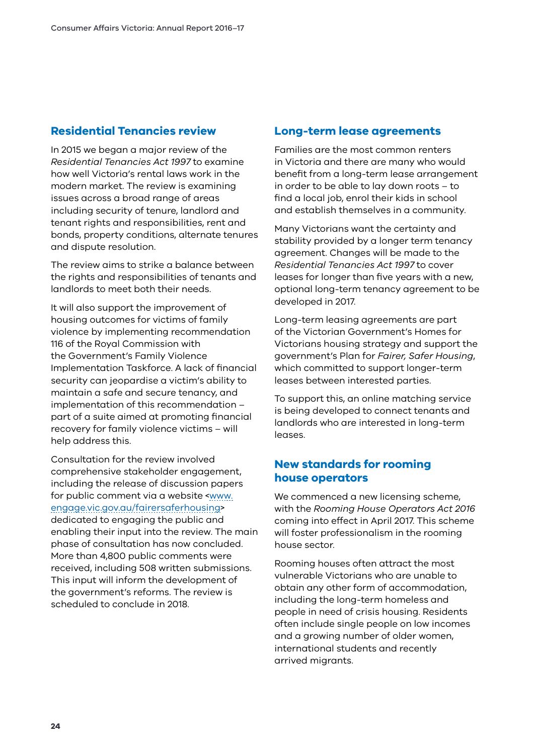#### **Residential Tenancies review**

In 2015 we began a major review of the *Residential Tenancies Act 1997* to examine how well Victoria's rental laws work in the modern market. The review is examining issues across a broad range of areas including security of tenure, landlord and tenant rights and responsibilities, rent and bonds, property conditions, alternate tenures and dispute resolution.

The review aims to strike a balance between the rights and responsibilities of tenants and landlords to meet both their needs.

It will also support the improvement of housing outcomes for victims of family violence by implementing recommendation 116 of the Royal Commission with the Government's Family Violence Implementation Taskforce. A lack of financial security can jeopardise a victim's ability to maintain a safe and secure tenancy, and implementation of this recommendation – part of a suite aimed at promoting financial recovery for family violence victims – will help address this.

Consultation for the review involved comprehensive stakeholder engagement, including the release of discussion papers for public comment via a website <[www.](http://www.engage.vic.gov.au/fairersaferhousing) [engage.vic.gov.au/fairersaferhousing>](http://www.engage.vic.gov.au/fairersaferhousing) dedicated to engaging the public and enabling their input into the review. The main phase of consultation has now concluded. More than 4,800 public comments were received, including 508 written submissions. This input will inform the development of the government's reforms. The review is scheduled to conclude in 2018.

#### **Long-term lease agreements**

Families are the most common renters in Victoria and there are many who would benefit from a long-term lease arrangement in order to be able to lay down roots – to find a local job, enrol their kids in school and establish themselves in a community.

Many Victorians want the certainty and stability provided by a longer term tenancy agreement. Changes will be made to the *Residential Tenancies Act 1997* to cover leases for longer than five years with a new, optional long-term tenancy agreement to be developed in 2017.

Long-term leasing agreements are part of the Victorian Government's Homes for Victorians housing strategy and support the government's Plan for *Fairer, Safer Housing*, which committed to support longer-term leases between interested parties.

To support this, an online matching service is being developed to connect tenants and landlords who are interested in long-term leases.

### **New standards for rooming house operators**

We commenced a new licensing scheme, with the *Rooming House Operators Act 2016* coming into effect in April 2017. This scheme will foster professionalism in the rooming house sector.

Rooming houses often attract the most vulnerable Victorians who are unable to obtain any other form of accommodation, including the long-term homeless and people in need of crisis housing. Residents often include single people on low incomes and a growing number of older women, international students and recently arrived migrants.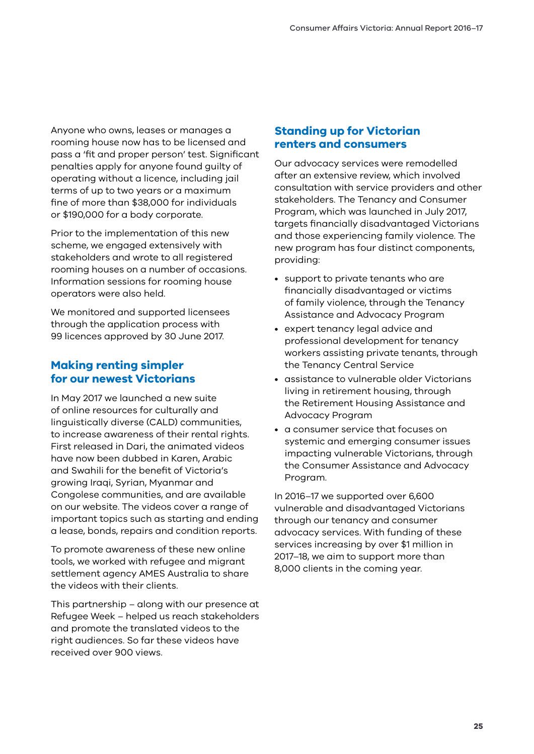Anyone who owns, leases or manages a rooming house now has to be licensed and pass a 'fit and proper person' test. Significant penalties apply for anyone found guilty of operating without a licence, including jail terms of up to two years or a maximum fine of more than \$38,000 for individuals or \$190,000 for a body corporate.

Prior to the implementation of this new scheme, we engaged extensively with stakeholders and wrote to all registered rooming houses on a number of occasions. Information sessions for rooming house operators were also held.

We monitored and supported licensees through the application process with 99 licences approved by 30 June 2017.

#### **Making renting simpler for our newest Victorians**

In May 2017 we launched a new suite of online resources for culturally and linguistically diverse (CALD) communities, to increase awareness of their rental rights. First released in Dari, the animated videos have now been dubbed in Karen, Arabic and Swahili for the benefit of Victoria's growing Iraqi, Syrian, Myanmar and Congolese communities, and are available on our website. The videos cover a range of important topics such as starting and ending a lease, bonds, repairs and condition reports.

To promote awareness of these new online tools, we worked with refugee and migrant settlement agency AMES Australia to share the videos with their clients.

This partnership – along with our presence at Refugee Week – helped us reach stakeholders and promote the translated videos to the right audiences. So far these videos have received over 900 views.

### **Standing up for Victorian renters and consumers**

Our advocacy services were remodelled after an extensive review, which involved consultation with service providers and other stakeholders. The Tenancy and Consumer Program, which was launched in July 2017, targets financially disadvantaged Victorians and those experiencing family violence. The new program has four distinct components, providing:

- support to private tenants who are financially disadvantaged or victims of family violence, through the Tenancy Assistance and Advocacy Program
- expert tenancy legal advice and professional development for tenancy workers assisting private tenants, through the Tenancy Central Service
- assistance to vulnerable older Victorians living in retirement housing, through the Retirement Housing Assistance and Advocacy Program
- a consumer service that focuses on systemic and emerging consumer issues impacting vulnerable Victorians, through the Consumer Assistance and Advocacy Program.

In 2016–17 we supported over 6,600 vulnerable and disadvantaged Victorians through our tenancy and consumer advocacy services. With funding of these services increasing by over \$1 million in 2017–18, we aim to support more than 8,000 clients in the coming year.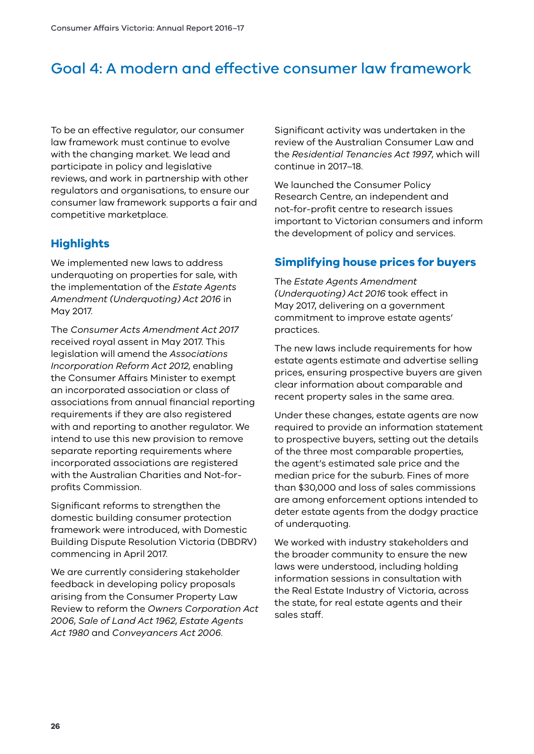# <span id="page-25-0"></span>Goal 4: A modern and effective consumer law framework

To be an effective regulator, our consumer law framework must continue to evolve with the changing market. We lead and participate in policy and legislative reviews, and work in partnership with other regulators and organisations, to ensure our consumer law framework supports a fair and competitive marketplace.

# **Highlights**

We implemented new laws to address underquoting on properties for sale, with the implementation of the *Estate Agents Amendment (Underquoting) Act 2016* in May 2017.

The *Consumer Acts Amendment Act 2017* received royal assent in May 2017. This legislation will amend the *Associations Incorporation Reform Act 2012*, enabling the Consumer Affairs Minister to exempt an incorporated association or class of associations from annual financial reporting requirements if they are also registered with and reporting to another regulator. We intend to use this new provision to remove separate reporting requirements where incorporated associations are registered with the Australian Charities and Not-forprofits Commission.

Significant reforms to strengthen the domestic building consumer protection framework were introduced, with Domestic Building Dispute Resolution Victoria (DBDRV) commencing in April 2017.

We are currently considering stakeholder feedback in developing policy proposals arising from the Consumer Property Law Review to reform the *Owners Corporation Act 2006*, *Sale of Land Act 1962*, *Estate Agents Act 1980* and *Conveyancers Act 2006*.

Significant activity was undertaken in the review of the Australian Consumer Law and the *Residential Tenancies Act 1997*, which will continue in 2017–18.

We launched the Consumer Policy Research Centre, an independent and not-for-profit centre to research issues important to Victorian consumers and inform the development of policy and services.

## **Simplifying house prices for buyers**

The *Estate Agents Amendment (Underquoting) Act 2016* took effect in May 2017, delivering on a government commitment to improve estate agents' practices.

The new laws include requirements for how estate agents estimate and advertise selling prices, ensuring prospective buyers are given clear information about comparable and recent property sales in the same area.

Under these changes, estate agents are now required to provide an information statement to prospective buyers, setting out the details of the three most comparable properties, the agent's estimated sale price and the median price for the suburb. Fines of more than \$30,000 and loss of sales commissions are among enforcement options intended to deter estate agents from the dodgy practice of underquoting.

We worked with industry stakeholders and the broader community to ensure the new laws were understood, including holding information sessions in consultation with the Real Estate Industry of Victoria, across the state, for real estate agents and their sales staff.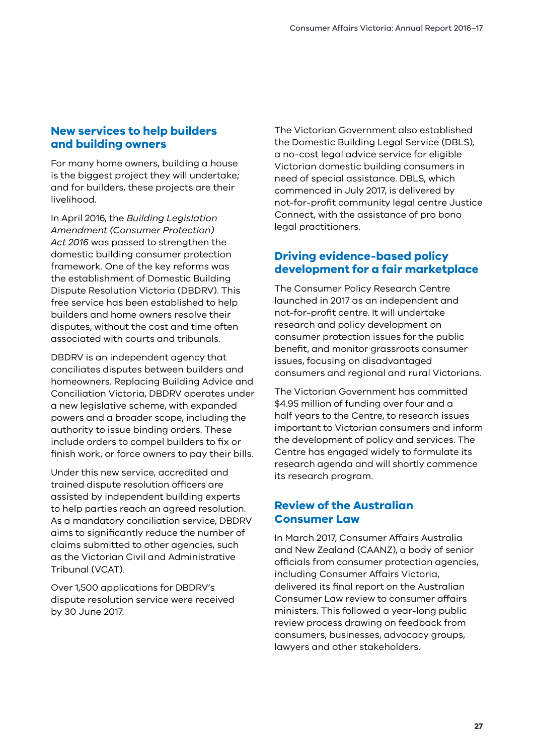### **New services to help builders and building owners**

For many home owners, building a house is the biggest project they will undertake; and for builders, these projects are their livelihood.

In April 2016, the *Building Legislation Amendment (Consumer Protection) Act 2016* was passed to strengthen the domestic building consumer protection framework. One of the key reforms was the establishment of Domestic Building Dispute Resolution Victoria (DBDRV). This free service has been established to help builders and home owners resolve their disputes, without the cost and time often associated with courts and tribunals.

DBDRV is an independent agency that conciliates disputes between builders and homeowners. Replacing Building Advice and Conciliation Victoria, DBDRV operates under a new legislative scheme, with expanded powers and a broader scope, including the authority to issue binding orders. These include orders to compel builders to fix or finish work, or force owners to pay their bills.

Under this new service, accredited and trained dispute resolution officers are assisted by independent building experts to help parties reach an agreed resolution. As a mandatory conciliation service, DBDRV aims to significantly reduce the number of claims submitted to other agencies, such as the Victorian Civil and Administrative Tribunal (VCAT).

Over 1,500 applications for DBDRV's dispute resolution service were received by 30 June 2017.

The Victorian Government also established the Domestic Building Legal Service (DBLS), a no-cost legal advice service for eligible Victorian domestic building consumers in need of special assistance. DBLS, which commenced in July 2017, is delivered by not-for-profit community legal centre Justice Connect, with the assistance of pro bono legal practitioners.

## **Driving evidence-based policy development for a fair marketplace**

The Consumer Policy Research Centre launched in 2017 as an independent and not-for-profit centre. It will undertake research and policy development on consumer protection issues for the public benefit, and monitor grassroots consumer issues, focusing on disadvantaged consumers and regional and rural Victorians.

The Victorian Government has committed \$4.95 million of funding over four and a half years to the Centre, to research issues important to Victorian consumers and inform the development of policy and services. The Centre has engaged widely to formulate its research agenda and will shortly commence its research program.

### **Review of the Australian Consumer Law**

In March 2017, Consumer Affairs Australia and New Zealand (CAANZ), a body of senior officials from consumer protection agencies, including Consumer Affairs Victoria, delivered its final report on the Australian Consumer Law review to consumer affairs ministers. This followed a year-long public review process drawing on feedback from consumers, businesses, advocacy groups, lawyers and other stakeholders.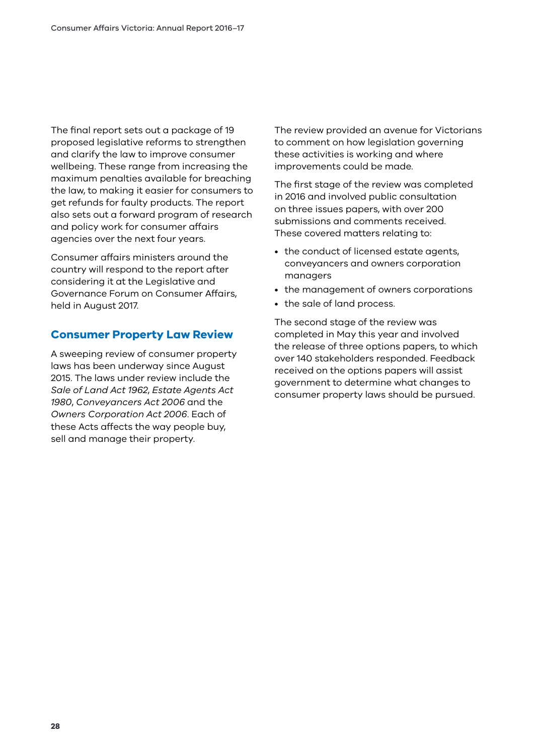The final report sets out a package of 19 proposed legislative reforms to strengthen and clarify the law to improve consumer wellbeing. These range from increasing the maximum penalties available for breaching the law, to making it easier for consumers to get refunds for faulty products. The report also sets out a forward program of research and policy work for consumer affairs agencies over the next four years.

Consumer affairs ministers around the country will respond to the report after considering it at the Legislative and Governance Forum on Consumer Affairs, held in August 2017.

#### **Consumer Property Law Review**

A sweeping review of consumer property laws has been underway since August 2015. The laws under review include the *Sale of Land Act 1962*, *Estate Agents Act 1980*, *Conveyancers Act 2006* and the *Owners Corporation Act 2006*. Each of these Acts affects the way people buy, sell and manage their property.

The review provided an avenue for Victorians to comment on how legislation governing these activities is working and where improvements could be made.

The first stage of the review was completed in 2016 and involved public consultation on three issues papers, with over 200 submissions and comments received. These covered matters relating to:

- the conduct of licensed estate agents, conveyancers and owners corporation managers
- the management of owners corporations
- the sale of land process.

The second stage of the review was completed in May this year and involved the release of three options papers, to which over 140 stakeholders responded. Feedback received on the options papers will assist government to determine what changes to consumer property laws should be pursued.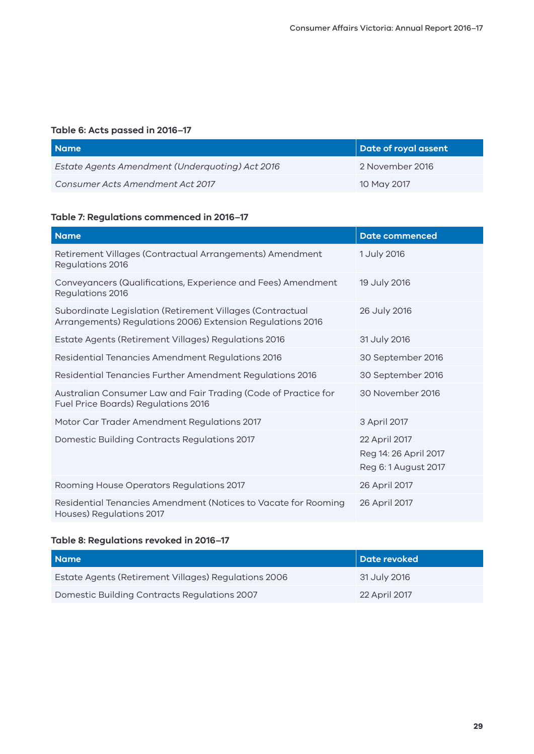#### **Table 6: Acts passed in 2016–17**

| <b>Name</b>                                     | Date of royal assent |
|-------------------------------------------------|----------------------|
| Estate Agents Amendment (Underquoting) Act 2016 | 2 November 2016      |
| Consumer Acts Amendment Act 2017                | 10 May 2017          |

#### **Table 7: Regulations commenced in 2016–17**

| <b>Name</b>                                                                                                             | <b>Date commenced</b>                                          |
|-------------------------------------------------------------------------------------------------------------------------|----------------------------------------------------------------|
| Retirement Villages (Contractual Arrangements) Amendment<br>Regulations 2016                                            | 1 July 2016                                                    |
| Conveyancers (Qualifications, Experience and Fees) Amendment<br>Regulations 2016                                        | 19 July 2016                                                   |
| Subordinate Legislation (Retirement Villages (Contractual<br>Arrangements) Regulations 2006) Extension Regulations 2016 | 26 July 2016                                                   |
| Estate Agents (Retirement Villages) Regulations 2016                                                                    | 31 July 2016                                                   |
| Residential Tenancies Amendment Regulations 2016                                                                        | 30 September 2016                                              |
| Residential Tenancies Further Amendment Regulations 2016                                                                | 30 September 2016                                              |
| Australian Consumer Law and Fair Trading (Code of Practice for<br>Fuel Price Boards) Regulations 2016                   | 30 November 2016                                               |
| Motor Car Trader Amendment Regulations 2017                                                                             | 3 April 2017                                                   |
| Domestic Building Contracts Regulations 2017                                                                            | 22 April 2017<br>Reg 14: 26 April 2017<br>Reg 6: 1 August 2017 |
| Rooming House Operators Regulations 2017                                                                                | 26 April 2017                                                  |
| Residential Tenancies Amendment (Notices to Vacate for Rooming<br>Houses) Regulations 2017                              | 26 April 2017                                                  |

#### **Table 8: Regulations revoked in 2016–17**

| <b>Name</b>                                          | Date revoked  |
|------------------------------------------------------|---------------|
| Estate Agents (Retirement Villages) Regulations 2006 | 31 July 2016  |
| Domestic Building Contracts Regulations 2007         | 22 April 2017 |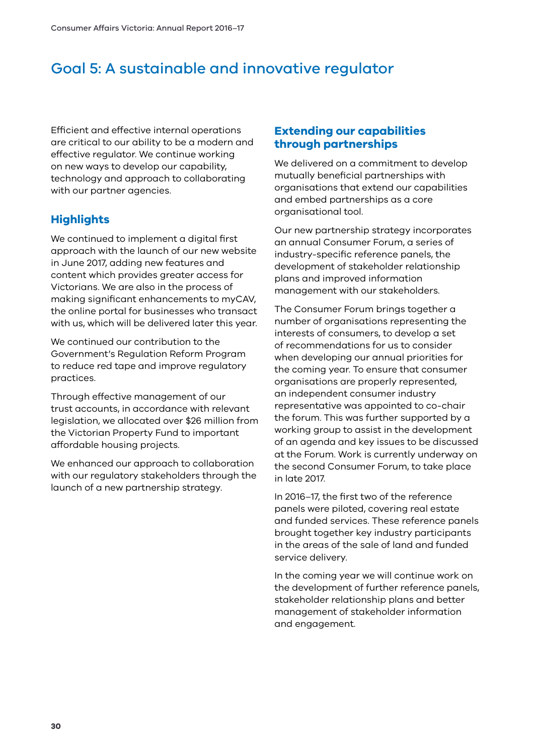# <span id="page-29-0"></span>Goal 5: A sustainable and innovative regulator

Efficient and effective internal operations are critical to our ability to be a modern and effective regulator. We continue working on new ways to develop our capability, technology and approach to collaborating with our partner agencies.

# **Highlights**

We continued to implement a digital first approach with the launch of our new website in June 2017, adding new features and content which provides greater access for Victorians. We are also in the process of making significant enhancements to myCAV, the online portal for businesses who transact with us, which will be delivered later this year.

We continued our contribution to the Government's Regulation Reform Program to reduce red tape and improve regulatory practices.

Through effective management of our trust accounts, in accordance with relevant legislation, we allocated over \$26 million from the Victorian Property Fund to important affordable housing projects.

We enhanced our approach to collaboration with our regulatory stakeholders through the launch of a new partnership strategy.

#### **Extending our capabilities through partnerships**

We delivered on a commitment to develop mutually beneficial partnerships with organisations that extend our capabilities and embed partnerships as a core organisational tool.

Our new partnership strategy incorporates an annual Consumer Forum, a series of industry-specific reference panels, the development of stakeholder relationship plans and improved information management with our stakeholders.

The Consumer Forum brings together a number of organisations representing the interests of consumers, to develop a set of recommendations for us to consider when developing our annual priorities for the coming year. To ensure that consumer organisations are properly represented, an independent consumer industry representative was appointed to co-chair the forum. This was further supported by a working group to assist in the development of an agenda and key issues to be discussed at the Forum. Work is currently underway on the second Consumer Forum, to take place in late 2017.

In 2016–17, the first two of the reference panels were piloted, covering real estate and funded services. These reference panels brought together key industry participants in the areas of the sale of land and funded service delivery.

In the coming year we will continue work on the development of further reference panels, stakeholder relationship plans and better management of stakeholder information and engagement.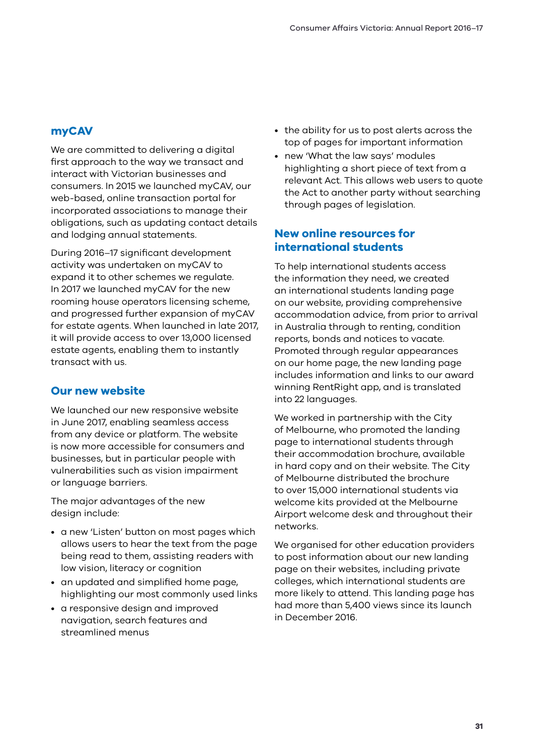#### **myCAV**

We are committed to delivering a digital first approach to the way we transact and interact with Victorian businesses and consumers. In 2015 we launched myCAV, our web-based, online transaction portal for incorporated associations to manage their obligations, such as updating contact details and lodging annual statements.

During 2016–17 significant development activity was undertaken on myCAV to expand it to other schemes we regulate. In 2017 we launched myCAV for the new rooming house operators licensing scheme, and progressed further expansion of myCAV for estate agents. When launched in late 2017, it will provide access to over 13,000 licensed estate agents, enabling them to instantly transact with us.

#### **Our new website**

We launched our new responsive website in June 2017, enabling seamless access from any device or platform. The website is now more accessible for consumers and businesses, but in particular people with vulnerabilities such as vision impairment or language barriers.

The major advantages of the new design include:

- a new 'Listen' button on most pages which allows users to hear the text from the page being read to them, assisting readers with low vision, literacy or cognition
- an updated and simplified home page, highlighting our most commonly used links
- a responsive design and improved navigation, search features and streamlined menus
- the ability for us to post alerts across the top of pages for important information
- new 'What the law says' modules highlighting a short piece of text from a relevant Act. This allows web users to quote the Act to another party without searching through pages of legislation.

#### **New online resources for international students**

To help international students access the information they need, we created an international students landing page on our website, providing comprehensive accommodation advice, from prior to arrival in Australia through to renting, condition reports, bonds and notices to vacate. Promoted through regular appearances on our home page, the new landing page includes information and links to our award winning RentRight app, and is translated into 22 languages.

We worked in partnership with the City of Melbourne, who promoted the landing page to international students through their accommodation brochure, available in hard copy and on their website. The City of Melbourne distributed the brochure to over 15,000 international students via welcome kits provided at the Melbourne Airport welcome desk and throughout their networks.

We organised for other education providers to post information about our new landing page on their websites, including private colleges, which international students are more likely to attend. This landing page has had more than 5,400 views since its launch in December 2016.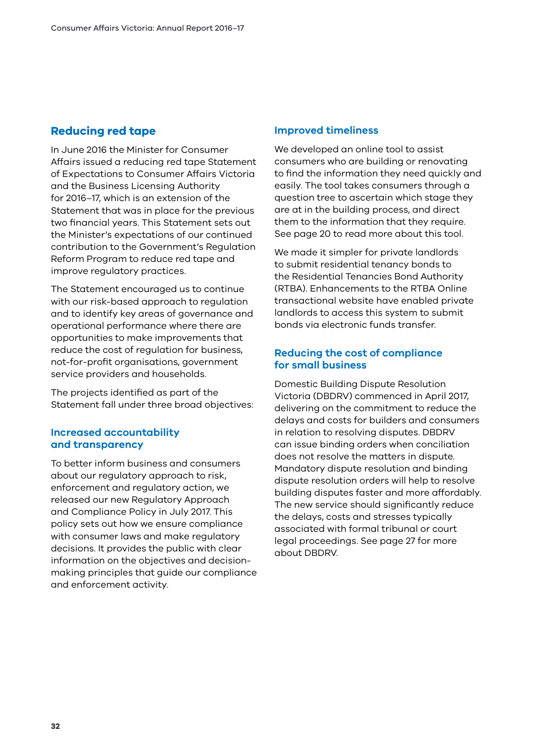#### **Reducing red tape**

In June 2016 the Minister for Consumer Affairs issued a reducing red tape Statement of Expectations to Consumer Affairs Victoria and the Business Licensing Authority for 2016–17, which is an extension of the Statement that was in place for the previous two financial years. This Statement sets out the Minister's expectations of our continued contribution to the Government's Regulation Reform Program to reduce red tape and improve regulatory practices.

The Statement encouraged us to continue with our risk-based approach to regulation and to identify key areas of governance and operational performance where there are opportunities to make improvements that reduce the cost of regulation for business, not-for-profit organisations, government service providers and households.

The projects identified as part of the Statement fall under three broad objectives:

#### **Increased accountability and transparency**

To better inform business and consumers about our regulatory approach to risk, enforcement and regulatory action, we released our new Regulatory Approach and Compliance Policy in July 2017. This policy sets out how we ensure compliance with consumer laws and make regulatory decisions. It provides the public with clear information on the objectives and decisionmaking principles that guide our compliance and enforcement activity.

#### **Improved timeliness**

We developed an online tool to assist consumers who are building or renovating to find the information they need quickly and easily. The tool takes consumers through a question tree to ascertain which stage they are at in the building process, and direct them to the information that they require. See page 20 to read more about this tool.

We made it simpler for private landlords to submit residential tenancy bonds to the Residential Tenancies Bond Authority (RTBA). Enhancements to the RTBA Online transactional website have enabled private landlords to access this system to submit bonds via electronic funds transfer.

#### **Reducing the cost of compliance for small business**

Domestic Building Dispute Resolution Victoria (DBDRV) commenced in April 2017, delivering on the commitment to reduce the delays and costs for builders and consumers in relation to resolving disputes. DBDRV can issue binding orders when conciliation does not resolve the matters in dispute. Mandatory dispute resolution and binding dispute resolution orders will help to resolve building disputes faster and more affordably. The new service should significantly reduce the delays, costs and stresses typically associated with formal tribunal or court legal proceedings. See page 27 for more about DBDRV.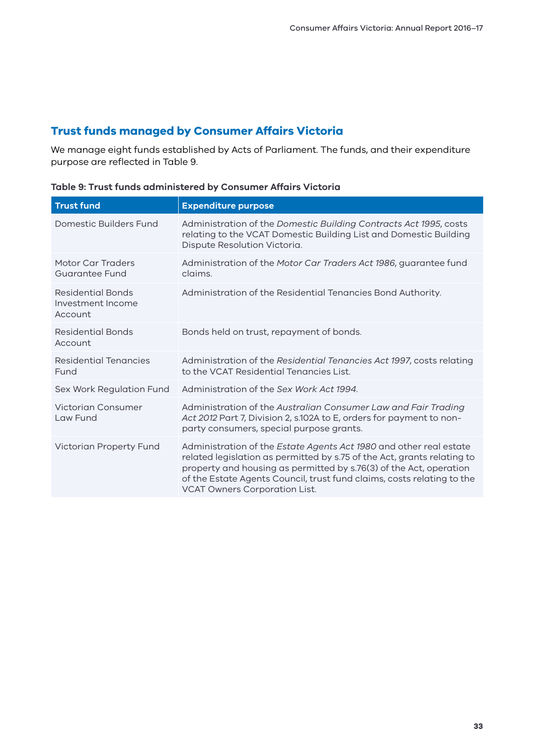# **Trust funds managed by Consumer Affairs Victoria**

We manage eight funds established by Acts of Parliament. The funds, and their expenditure purpose are reflected in Table 9.

| <b>Trust fund</b>                                 | <b>Expenditure purpose</b>                                                                                                                                                                                                                                                                                                            |
|---------------------------------------------------|---------------------------------------------------------------------------------------------------------------------------------------------------------------------------------------------------------------------------------------------------------------------------------------------------------------------------------------|
| Domestic Builders Fund                            | Administration of the Domestic Building Contracts Act 1995, costs<br>relating to the VCAT Domestic Building List and Domestic Building<br>Dispute Resolution Victoria.                                                                                                                                                                |
| Motor Car Traders<br>Guarantee Fund               | Administration of the Motor Car Traders Act 1986, guarantee fund<br>claims.                                                                                                                                                                                                                                                           |
| Residential Bonds<br>Investment Income<br>Account | Administration of the Residential Tenancies Bond Authority.                                                                                                                                                                                                                                                                           |
| <b>Residential Bonds</b><br>Account               | Bonds held on trust, repayment of bonds.                                                                                                                                                                                                                                                                                              |
| <b>Residential Tenancies</b><br>Fund              | Administration of the Residential Tenancies Act 1997, costs relating<br>to the VCAT Residential Tenancies List.                                                                                                                                                                                                                       |
| Sex Work Regulation Fund                          | Administration of the Sex Work Act 1994.                                                                                                                                                                                                                                                                                              |
| <b>Victorian Consumer</b><br>Law Fund             | Administration of the Australian Consumer Law and Fair Trading<br>Act 2012 Part 7, Division 2, s.102A to E, orders for payment to non-<br>party consumers, special purpose grants.                                                                                                                                                    |
| Victorian Property Fund                           | Administration of the Estate Agents Act 1980 and other real estate<br>related legislation as permitted by s.75 of the Act, grants relating to<br>property and housing as permitted by s.76(3) of the Act, operation<br>of the Estate Agents Council, trust fund claims, costs relating to the<br><b>VCAT Owners Corporation List.</b> |

#### **Table 9: Trust funds administered by Consumer Affairs Victoria**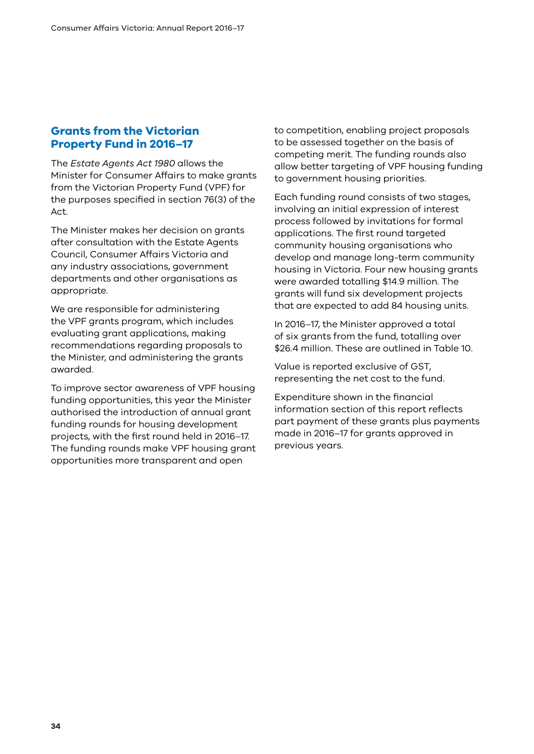#### **Grants from the Victorian Property Fund in 2016–17**

The *Estate Agents Act 1980* allows the Minister for Consumer Affairs to make grants from the Victorian Property Fund (VPF) for the purposes specified in section 76(3) of the Act.

The Minister makes her decision on grants after consultation with the Estate Agents Council, Consumer Affairs Victoria and any industry associations, government departments and other organisations as appropriate.

We are responsible for administering the VPF grants program, which includes evaluating grant applications, making recommendations regarding proposals to the Minister, and administering the grants awarded.

To improve sector awareness of VPF housing funding opportunities, this year the Minister authorised the introduction of annual grant funding rounds for housing development projects, with the first round held in 2016–17. The funding rounds make VPF housing grant opportunities more transparent and open

to competition, enabling project proposals to be assessed together on the basis of competing merit. The funding rounds also allow better targeting of VPF housing funding to government housing priorities.

Each funding round consists of two stages, involving an initial expression of interest process followed by invitations for formal applications. The first round targeted community housing organisations who develop and manage long-term community housing in Victoria. Four new housing grants were awarded totalling \$14.9 million. The grants will fund six development projects that are expected to add 84 housing units.

In 2016–17, the Minister approved a total of six grants from the fund, totalling over \$26.4 million. These are outlined in Table 10.

Value is reported exclusive of GST, representing the net cost to the fund.

Expenditure shown in the financial information section of this report reflects part payment of these grants plus payments made in 2016–17 for grants approved in previous years.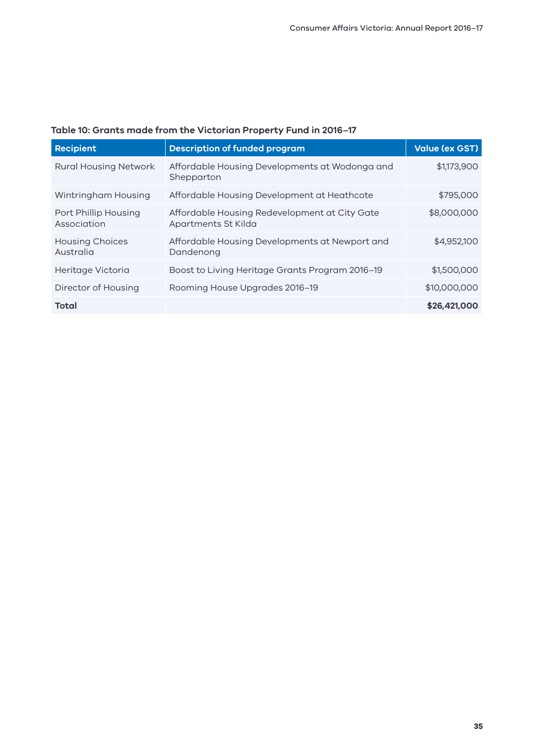|  | Table 10: Grants made from the Victorian Property Fund in 2016–17 |  |  |  |
|--|-------------------------------------------------------------------|--|--|--|
|  |                                                                   |  |  |  |

| <b>Recipient</b>                    | <b>Description of funded program</b>                                 | <b>Value (ex GST)</b> |
|-------------------------------------|----------------------------------------------------------------------|-----------------------|
| <b>Rural Housing Network</b>        | Affordable Housing Developments at Wodonga and<br>Shepparton         | \$1,173,900           |
| Wintringham Housing                 | Affordable Housing Development at Heathcote                          | \$795,000             |
| Port Phillip Housing<br>Association | Affordable Housing Redevelopment at City Gate<br>Apartments St Kilda | \$8,000,000           |
| <b>Housing Choices</b><br>Australia | Affordable Housing Developments at Newport and<br>Dandenong          | \$4,952,100           |
| Heritage Victoria                   | Boost to Living Heritage Grants Program 2016-19                      | \$1,500,000           |
| Director of Housing                 | Rooming House Upgrades 2016-19                                       | \$10,000,000          |
| <b>Total</b>                        |                                                                      | \$26,421,000          |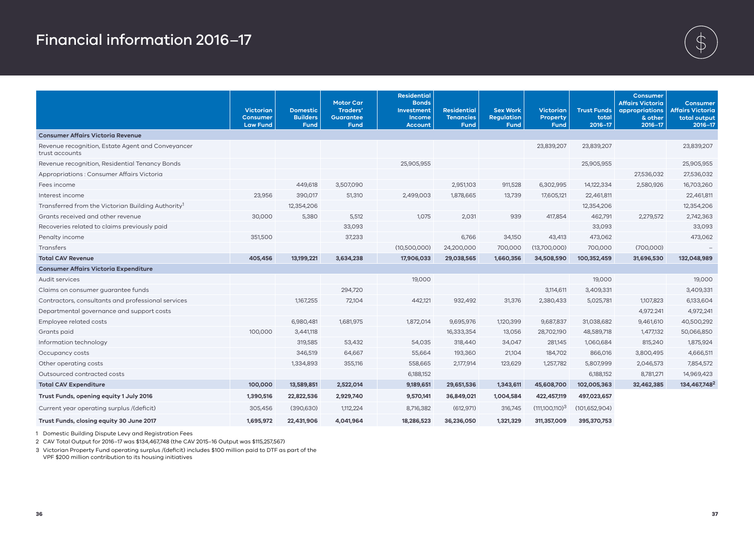# <span id="page-35-0"></span>Financial information 2016–17

|                                                                     | <b>Victorian</b><br><b>Consumer</b><br><b>Law Fund</b> | <b>Domestic</b><br><b>Builders</b><br><b>Fund</b> | <b>Motor Car</b><br><b>Traders'</b><br><b>Guarantee</b><br><b>Fund</b> | <b>Residential</b><br><b>Bonds</b><br>Investment<br><b>Income</b><br><b>Account</b> | <b>Residential</b><br><b>Tenancies</b><br><b>Fund</b> | <b>Sex Work</b><br><b>Regulation</b><br><b>Fund</b> | <b>Victorian</b><br><b>Property</b><br><b>Fund</b> | <b>Trust Funds</b><br>total<br>$2016 - 17$ | <b>Consumer</b><br><b>Affairs Victoria</b><br>appropriations<br>& other<br>$2016 - 17$ | <b>Consumer</b><br><b>Affairs Victoria</b><br>total output<br>$2016 - 17$ |
|---------------------------------------------------------------------|--------------------------------------------------------|---------------------------------------------------|------------------------------------------------------------------------|-------------------------------------------------------------------------------------|-------------------------------------------------------|-----------------------------------------------------|----------------------------------------------------|--------------------------------------------|----------------------------------------------------------------------------------------|---------------------------------------------------------------------------|
| <b>Consumer Affairs Victoria Revenue</b>                            |                                                        |                                                   |                                                                        |                                                                                     |                                                       |                                                     |                                                    |                                            |                                                                                        |                                                                           |
| Revenue recognition, Estate Agent and Conveyancer<br>trust accounts |                                                        |                                                   |                                                                        |                                                                                     |                                                       |                                                     | 23,839,207                                         | 23,839,207                                 |                                                                                        | 23,839,207                                                                |
| Revenue recognition, Residential Tenancy Bonds                      |                                                        |                                                   |                                                                        | 25,905,955                                                                          |                                                       |                                                     |                                                    | 25,905,955                                 |                                                                                        | 25,905,955                                                                |
| Appropriations: Consumer Affairs Victoria                           |                                                        |                                                   |                                                                        |                                                                                     |                                                       |                                                     |                                                    |                                            | 27,536,032                                                                             | 27,536,032                                                                |
| Fees income                                                         |                                                        | 449,618                                           | 3,507,090                                                              |                                                                                     | 2,951,103                                             | 911,528                                             | 6,302,995                                          | 14,122,334                                 | 2,580,926                                                                              | 16,703,260                                                                |
| Interest income                                                     | 23,956                                                 | 390,017                                           | 51,310                                                                 | 2,499,003                                                                           | 1,878,665                                             | 13,739                                              | 17,605,121                                         | 22,461,811                                 |                                                                                        | 22,461,811                                                                |
| Transferred from the Victorian Building Authority <sup>1</sup>      |                                                        | 12,354,206                                        |                                                                        |                                                                                     |                                                       |                                                     |                                                    | 12,354,206                                 |                                                                                        | 12,354,206                                                                |
| Grants received and other revenue                                   | 30,000                                                 | 5,380                                             | 5,512                                                                  | 1,075                                                                               | 2,031                                                 | 939                                                 | 417,854                                            | 462,791                                    | 2,279,572                                                                              | 2,742,363                                                                 |
| Recoveries related to claims previously paid                        |                                                        |                                                   | 33,093                                                                 |                                                                                     |                                                       |                                                     |                                                    | 33,093                                     |                                                                                        | 33,093                                                                    |
| Penalty income                                                      | 351,500                                                |                                                   | 37,233                                                                 |                                                                                     | 6,766                                                 | 34,150                                              | 43,413                                             | 473,062                                    |                                                                                        | 473,062                                                                   |
| Transfers                                                           |                                                        |                                                   |                                                                        | (10,500,000)                                                                        | 24,200,000                                            | 700,000                                             | (13,700,000)                                       | 700,000                                    | (700,000)                                                                              |                                                                           |
| <b>Total CAV Revenue</b>                                            | 405,456                                                | 13,199,221                                        | 3,634,238                                                              | 17,906,033                                                                          | 29,038,565                                            | 1,660,356                                           | 34,508,590                                         | 100,352,459                                | 31,696,530                                                                             | 132,048,989                                                               |
| <b>Consumer Affairs Victoria Expenditure</b>                        |                                                        |                                                   |                                                                        |                                                                                     |                                                       |                                                     |                                                    |                                            |                                                                                        |                                                                           |
| Audit services                                                      |                                                        |                                                   |                                                                        | 19,000                                                                              |                                                       |                                                     |                                                    | 19,000                                     |                                                                                        | 19,000                                                                    |
| Claims on consumer guarantee funds                                  |                                                        |                                                   | 294,720                                                                |                                                                                     |                                                       |                                                     | 3,114,611                                          | 3,409,331                                  |                                                                                        | 3,409,331                                                                 |
| Contractors, consultants and professional services                  |                                                        | 1,167,255                                         | 72,104                                                                 | 442,121                                                                             | 932,492                                               | 31,376                                              | 2,380,433                                          | 5,025,781                                  | 1,107,823                                                                              | 6,133,604                                                                 |
| Departmental governance and support costs                           |                                                        |                                                   |                                                                        |                                                                                     |                                                       |                                                     |                                                    |                                            | 4,972.241                                                                              | 4,972,241                                                                 |
| Employee related costs                                              |                                                        | 6,980,481                                         | 1,681,975                                                              | 1,872,014                                                                           | 9,695,976                                             | 1,120,399                                           | 9,687,837                                          | 31,038,682                                 | 9,461,610                                                                              | 40,500,292                                                                |
| Grants paid                                                         | 100,000                                                | 3,441,118                                         |                                                                        |                                                                                     | 16,333,354                                            | 13,056                                              | 28,702,190                                         | 48,589,718                                 | 1,477,132                                                                              | 50,066,850                                                                |
| Information technology                                              |                                                        | 319,585                                           | 53,432                                                                 | 54,035                                                                              | 318,440                                               | 34,047                                              | 281,145                                            | 1,060,684                                  | 815,240                                                                                | 1,875,924                                                                 |
| Occupancy costs                                                     |                                                        | 346,519                                           | 64,667                                                                 | 55,664                                                                              | 193,360                                               | 21,104                                              | 184,702                                            | 866,016                                    | 3,800,495                                                                              | 4,666,511                                                                 |
| Other operating costs                                               |                                                        | 1,334,893                                         | 355,116                                                                | 558,665                                                                             | 2,177,914                                             | 123,629                                             | 1,257,782                                          | 5,807,999                                  | 2,046,573                                                                              | 7,854,572                                                                 |
| Outsourced contracted costs                                         |                                                        |                                                   |                                                                        | 6,188,152                                                                           |                                                       |                                                     |                                                    | 6,188,152                                  | 8,781,271                                                                              | 14,969,423                                                                |
| <b>Total CAV Expenditure</b>                                        | 100,000                                                | 13,589,851                                        | 2,522,014                                                              | 9,189,651                                                                           | 29,651,536                                            | 1,343,611                                           | 45,608,700                                         | 102,005,363                                | 32,462,385                                                                             | 134,467,7482                                                              |
| Trust Funds, opening equity 1 July 2016                             | 1,390,516                                              | 22,822,536                                        | 2,929,740                                                              | 9,570,141                                                                           | 36,849,021                                            | 1,004,584                                           | 422,457,119                                        | 497,023,657                                |                                                                                        |                                                                           |
| Current year operating surplus /(deficit)                           | 305,456                                                | (390, 630)                                        | 1,112,224                                                              | 8,716,382                                                                           | (612, 971)                                            | 316,745                                             | $(111,100,110)^3$                                  | (101, 652, 904)                            |                                                                                        |                                                                           |
| Trust Funds, closing equity 30 June 2017                            | 1,695,972                                              | 22,431,906                                        | 4,041,964                                                              | 18,286,523                                                                          | 36,236,050                                            | 1,321,329                                           | 311,357,009                                        | 395,370,753                                |                                                                                        |                                                                           |

1 Domestic Building Dispute Levy and Registration Fees

2 CAV Total Output for 2016–17 was \$134,467,748 (the CAV 2015–16 Output was \$115,257,567)

3 Victorian Property Fund operating surplus /(deficit) includes \$100 million paid to DTF as part of the VPF \$200 million contribution to its housing initiatives

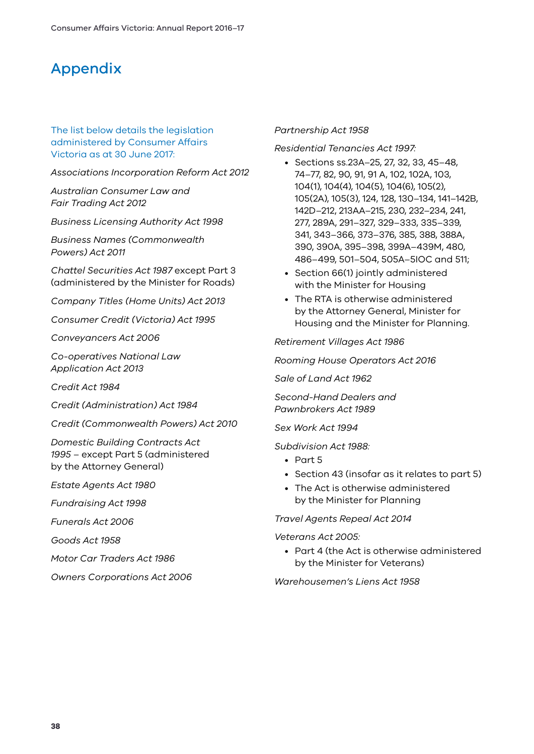# <span id="page-36-0"></span>Appendix

#### The list below details the legislation administered by Consumer Affairs Victoria as at 30 June 2017:

*Associations Incorporation Reform Act 2012*

*Australian Consumer Law and Fair Trading Act 2012*

*Business Licensing Authority Act 1998*

*Business Names (Commonwealth Powers) Act 2011*

*Chattel Securities Act 1987* except Part 3 (administered by the Minister for Roads)

*Company Titles (Home Units) Act 2013*

*Consumer Credit (Victoria) Act 1995*

*Conveyancers Act 2006*

*Co-operatives National Law Application Act 2013*

*Credit Act 1984*

*Credit (Administration) Act 1984*

*Credit (Commonwealth Powers) Act 2010*

*Domestic Building Contracts Act 1995* – except Part 5 (administered by the Attorney General)

*Estate Agents Act 1980*

*Fundraising Act 1998*

*Funerals Act 2006*

*Goods Act 1958*

*Motor Car Traders Act 1986*

*Owners Corporations Act 2006*

#### *Partnership Act 1958*

#### *Residential Tenancies Act 1997:*

- Sections ss.23A–25, 27, 32, 33, 45–48, 74–77, 82, 90, 91, 91 A, 102, 102A, 103, 104(1), 104(4), 104(5), 104(6), 105(2), 105(2A), 105(3), 124, 128, 130–134, 141–142B, 142D–212, 213AA–215, 230, 232–234, 241, 277, 289A, 291–327, 329–333, 335–339, 341, 343–366, 373–376, 385, 388, 388A, 390, 390A, 395–398, 399A–439M, 480, 486–499, 501–504, 505A–5IOC and 511;
- Section 66(1) jointly administered with the Minister for Housing
- The RTA is otherwise administered by the Attorney General, Minister for Housing and the Minister for Planning.

*Retirement Villages Act 1986*

*Rooming House Operators Act 2016*

*Sale of Land Act 1962*

*Second-Hand Dealers and Pawnbrokers Act 1989*

*Sex Work Act 1994*

*Subdivision Act 1988:*

- Part 5
- Section 43 (insofar as it relates to part 5)
- The Act is otherwise administered by the Minister for Planning

*Travel Agents Repeal Act 2014*

#### *Veterans Act 2005:*

• Part 4 (the Act is otherwise administered by the Minister for Veterans)

*Warehousemen's Liens Act 1958*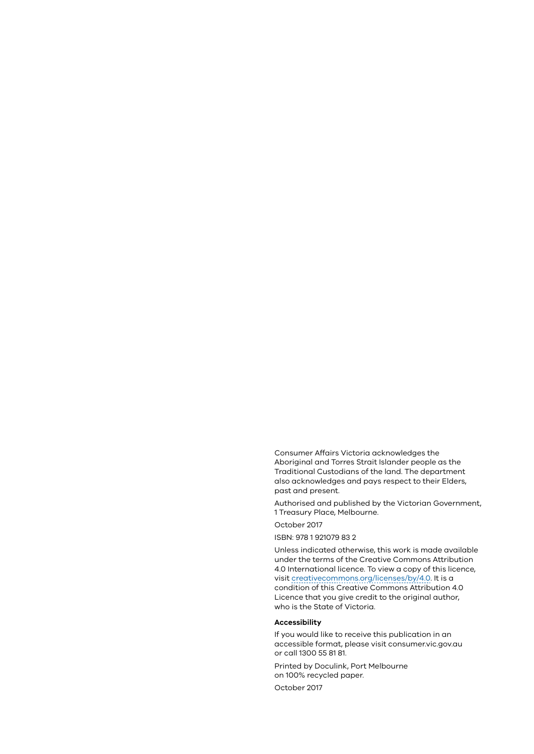Consumer Affairs Victoria acknowledges the Aboriginal and Torres Strait Islander people as the Traditional Custodians of the land. The department also acknowledges and pays respect to their Elders, past and present.

Authorised and published by the Victorian Government, 1 Treasury Place, Melbourne.

#### October 2017

ISBN: 978 1 921079 83 2

Unless indicated otherwise, this work is made available under the terms of the Creative Commons Attribution 4.0 International licence. To view a copy of this licence, visit [creativecommons.org/licenses/by/4.0](http://creativecommons.org/licenses/by/4.0). It is a condition of this Creative Commons Attribution 4.0 Licence that you give credit to the original author, who is the State of Victoria.

#### **Accessibility**

If you would like to receive this publication in an accessible format, please visit consumer.vic.gov.au or call 1300 55 81 81.

Printed by Doculink, Port Melbourne on 100% recycled paper. October 2017